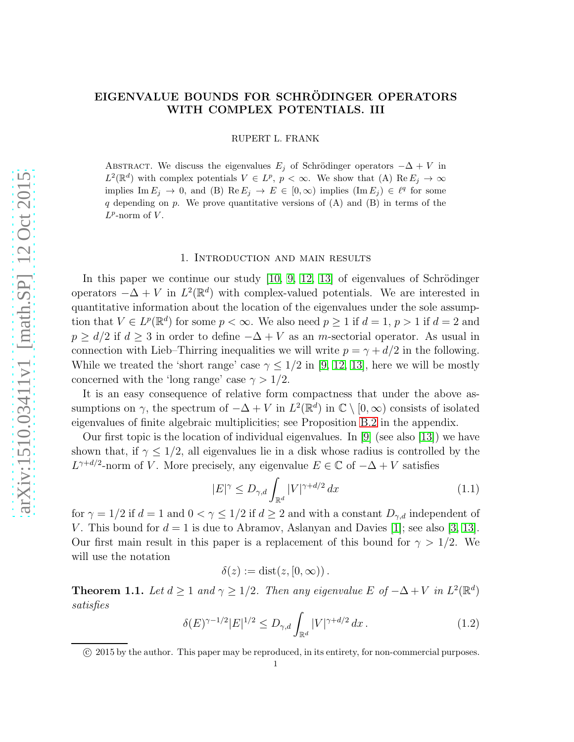# EIGENVALUE BOUNDS FOR SCHRÖDINGER OPERATORS WITH COMPLEX POTENTIALS. III

RUPERT L. FRANK

ABSTRACT. We discuss the eigenvalues  $E_j$  of Schrödinger operators  $-\Delta + V$  in  $L^2(\mathbb{R}^d)$  with complex potentials  $V \in L^p$ ,  $p < \infty$ . We show that (A)  $\text{Re } E_j \to \infty$ implies Im  $E_j \to 0$ , and (B) Re  $E_j \to E \in [0, \infty)$  implies  $(\text{Im } E_j) \in \ell^q$  for some  $q$  depending on  $p$ . We prove quantitative versions of  $(A)$  and  $(B)$  in terms of the  $L^p$ -norm of  $V$ .

#### 1. Introduction and main results

In this paper we continue our study  $[10, 9, 12, 13]$  $[10, 9, 12, 13]$  $[10, 9, 12, 13]$  $[10, 9, 12, 13]$  of eigenvalues of Schrödinger operators  $-\Delta + V$  in  $L^2(\mathbb{R}^d)$  with complex-valued potentials. We are interested in quantitative information about the location of the eigenvalues under the sole assumption that  $V \in L^p(\mathbb{R}^d)$  for some  $p < \infty$ . We also need  $p \ge 1$  if  $d = 1$ ,  $p > 1$  if  $d = 2$  and  $p \ge d/2$  if  $d \ge 3$  in order to define  $-\Delta + V$  as an m-sectorial operator. As usual in connection with Lieb–Thirring inequalities we will write  $p = \gamma + d/2$  in the following. While we treated the 'short range' case  $\gamma \leq 1/2$  in [\[9,](#page-21-1) [12,](#page-21-2) [13\]](#page-21-3), here we will be mostly concerned with the 'long range' case  $\gamma > 1/2$ .

It is an easy consequence of relative form compactness that under the above assumptions on  $\gamma$ , the spectrum of  $-\Delta + V$  in  $L^2(\mathbb{R}^d)$  in  $\mathbb{C} \setminus [0, \infty)$  consists of isolated eigenvalues of finite algebraic multiplicities; see Proposition [B.2](#page-18-0) in the appendix.

Our first topic is the location of individual eigenvalues. In  $[9]$  (see also [\[13\]](#page-21-3)) we have shown that, if  $\gamma \leq 1/2$ , all eigenvalues lie in a disk whose radius is controlled by the  $L^{\gamma+d/2}$ -norm of V. More precisely, any eigenvalue  $E \in \mathbb{C}$  of  $-\Delta + V$  satisfies

<span id="page-0-1"></span>
$$
|E|^{\gamma} \le D_{\gamma,d} \int_{\mathbb{R}^d} |V|^{\gamma+d/2} dx \tag{1.1}
$$

for  $\gamma = 1/2$  if  $d = 1$  and  $0 < \gamma \leq 1/2$  if  $d \geq 2$  and with a constant  $D_{\gamma,d}$  independent of V. This bound for  $d = 1$  is due to Abramov, Aslanyan and Davies [\[1\]](#page-21-4); see also [\[3,](#page-21-5) [13\]](#page-21-3). Our first main result in this paper is a replacement of this bound for  $\gamma > 1/2$ . We will use the notation

$$
\delta(z) := \text{dist}(z, [0, \infty))\,.
$$

<span id="page-0-0"></span>**Theorem 1.1.** Let  $d \geq 1$  and  $\gamma \geq 1/2$ . Then any eigenvalue E of  $-\Delta + V$  in  $L^2(\mathbb{R}^d)$ satisfies

<span id="page-0-2"></span>
$$
\delta(E)^{\gamma - 1/2} |E|^{1/2} \le D_{\gamma, d} \int_{\mathbb{R}^d} |V|^{\gamma + d/2} dx.
$$
 (1.2)

c 2015 by the author. This paper may be reproduced, in its entirety, for non-commercial purposes.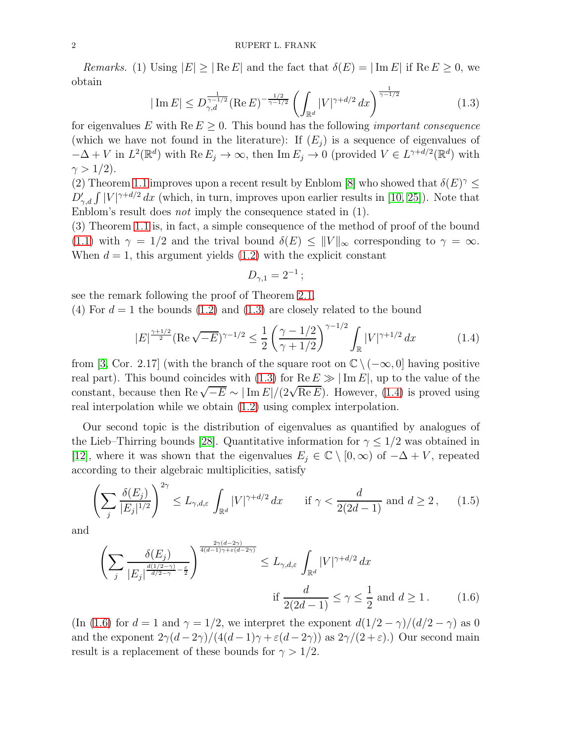Remarks. (1) Using  $|E| \geq |\text{Re } E|$  and the fact that  $\delta(E) = |\text{Im } E|$  if  $\text{Re } E \geq 0$ , we obtain

<span id="page-1-0"></span>
$$
|\operatorname{Im} E| \le D_{\gamma,d}^{\frac{1}{\gamma - 1/2}} (\operatorname{Re} E)^{-\frac{1/2}{\gamma - 1/2}} \left( \int_{\mathbb{R}^d} |V|^{\gamma + d/2} dx \right)^{\frac{1}{\gamma - 1/2}} \tag{1.3}
$$

for eigenvalues E with  $\text{Re } E \geq 0$ . This bound has the following *important consequence* (which we have not found in the literature): If  $(E_i)$  is a sequence of eigenvalues of  $-\Delta + V$  in  $L^2(\mathbb{R}^d)$  with  $\text{Re } E_j \to \infty$ , then  $\text{Im } E_j \to 0$  (provided  $V \in L^{\gamma+d/2}(\mathbb{R}^d)$  with  $\gamma > 1/2$ ).

(2) Theorem [1.1](#page-0-0) improves upon a recent result by Enblom [\[8\]](#page-21-6) who showed that  $\delta(E)^{\gamma} \leq$  $D'_{\gamma,d} \int |V|^{\gamma+d/2} dx$  (which, in turn, improves upon earlier results in [\[10,](#page-21-0) [25\]](#page-22-0)). Note that Enblom's result does not imply the consequence stated in (1).

(3) Theorem [1.1](#page-0-0) is, in fact, a simple consequence of the method of proof of the bound [\(1.1\)](#page-0-1) with  $\gamma = 1/2$  and the trival bound  $\delta(E) \leq ||V||_{\infty}$  corresponding to  $\gamma = \infty$ . When  $d = 1$ , this argument yields  $(1.2)$  with the explicit constant

$$
D_{\gamma,1}=2^{-1}\,;
$$

see the remark following the proof of Theorem [2.1.](#page-3-0)

(4) For  $d = 1$  the bounds [\(1.2\)](#page-0-2) and [\(1.3\)](#page-1-0) are closely related to the bound

<span id="page-1-1"></span>
$$
|E|^{\frac{\gamma+1/2}{2}} (\text{Re}\sqrt{-E})^{\gamma-1/2} \le \frac{1}{2} \left(\frac{\gamma - 1/2}{\gamma + 1/2}\right)^{\gamma-1/2} \int_{\mathbb{R}} |V|^{\gamma+1/2} dx \tag{1.4}
$$

from [\[3,](#page-21-5) Cor. 2.17] (with the branch of the square root on  $\mathbb{C} \setminus (-\infty, 0]$  having positive real part). This bound coincides with [\(1.3\)](#page-1-0) for  $\text{Re } E \gg |\text{Im } E|$ , up to the value of the constant, because then Re  $\sqrt{-E} \sim |\text{Im } E|/(2\sqrt{\text{Re } E})$ . However, [\(1.4\)](#page-1-1) is proved using real interpolation while we obtain [\(1.2\)](#page-0-2) using complex interpolation.

Our second topic is the distribution of eigenvalues as quantified by analogues of the Lieb–Thirring bounds [\[28\]](#page-22-1). Quantitative information for  $\gamma \leq 1/2$  was obtained in [\[12\]](#page-21-2), where it was shown that the eigenvalues  $E_j \in \mathbb{C} \setminus [0, \infty)$  of  $-\Delta + V$ , repeated according to their algebraic multiplicities, satisfy

<span id="page-1-3"></span>
$$
\left(\sum_{j} \frac{\delta(E_j)}{|E_j|^{1/2}}\right)^{2\gamma} \le L_{\gamma,d,\varepsilon} \int_{\mathbb{R}^d} |V|^{\gamma+d/2} dx \quad \text{if } \gamma < \frac{d}{2(2d-1)} \text{ and } d \ge 2, \qquad (1.5)
$$

and

<span id="page-1-2"></span>
$$
\left(\sum_{j} \frac{\delta(E_j)}{|E_j|^{\frac{d(1/2-\gamma)}{d/2-\gamma}-\frac{\varepsilon}{2}}}\right)^{\frac{2\gamma(d-2\gamma)}{4(d-1)\gamma+\varepsilon(d-2\gamma)}} \le L_{\gamma,d,\varepsilon} \int_{\mathbb{R}^d} |V|^{\gamma+d/2} dx
$$
  
if  $\frac{d}{2(2d-1)} \le \gamma \le \frac{1}{2}$  and  $d \ge 1$ . (1.6)

(In [\(1.6\)](#page-1-2) for  $d = 1$  and  $\gamma = 1/2$ , we interpret the exponent  $d(1/2 - \gamma)/(d/2 - \gamma)$  as 0 and the exponent  $2\gamma(d-2\gamma)/(4(d-1)\gamma + \varepsilon(d-2\gamma))$  as  $2\gamma/(2+\varepsilon)$ .) Our second main result is a replacement of these bounds for  $\gamma > 1/2$ .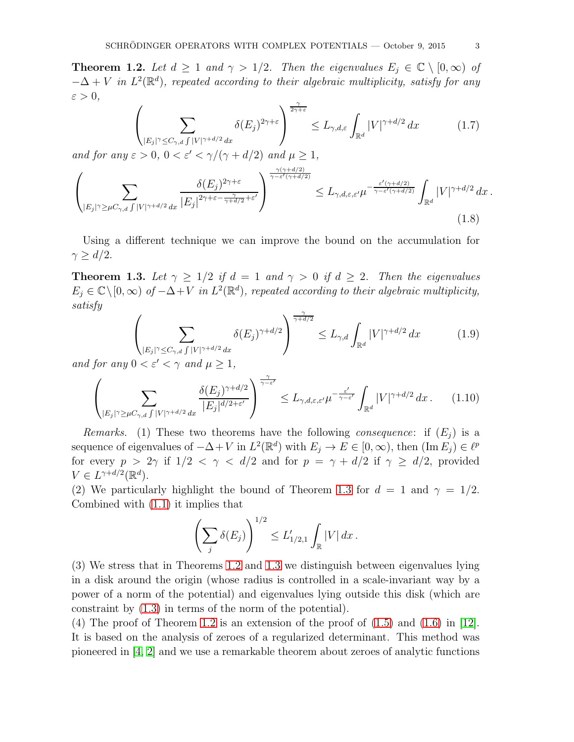<span id="page-2-1"></span>**Theorem 1.2.** Let  $d \geq 1$  and  $\gamma > 1/2$ . Then the eigenvalues  $E_i \in \mathbb{C} \setminus [0, \infty)$  of  $-\Delta + V$  in  $L^2(\mathbb{R}^d)$ , repeated according to their algebraic multiplicity, satisfy for any  $\varepsilon > 0$ ,

$$
\left(\sum_{|E_j|\gamma \le C_{\gamma,d} \int |V|^{\gamma+d/2} dx} \delta(E_j)^{2\gamma+\varepsilon} \right)^{\frac{\gamma}{2\gamma+\varepsilon}} \le L_{\gamma,d,\varepsilon} \int_{\mathbb{R}^d} |V|^{\gamma+d/2} dx \tag{1.7}
$$

and for any  $\varepsilon > 0$ ,  $0 < \varepsilon' < \gamma/(\gamma + d/2)$  and  $\mu \ge 1$ ,

$$
\left(\sum_{|E_j|\gamma\geq\mu C_{\gamma,d}\int|V|^{\gamma+d/2}dx}\frac{\delta(E_j)^{2\gamma+\varepsilon}}{|E_j|^{2\gamma+\varepsilon-\frac{\gamma}{\gamma+d/2}+\varepsilon'}}\right)^{\frac{\gamma(\gamma+d/2)}{\gamma-\varepsilon'(\gamma+d/2)}}\leq L_{\gamma,d,\varepsilon,\varepsilon'}\mu^{-\frac{\varepsilon'(\gamma+d/2)}{\gamma-\varepsilon'(\gamma+d/2)}}\int_{\mathbb{R}^d}|V|^{\gamma+d/2}dx\,.
$$
\n(1.8)

Using a different technique we can improve the bound on the accumulation for  $\gamma \geq d/2$ .

<span id="page-2-0"></span>**Theorem 1.3.** Let  $\gamma \geq 1/2$  if  $d = 1$  and  $\gamma > 0$  if  $d \geq 2$ . Then the eigenvalues  $E_j \in \mathbb{C} \setminus [0, \infty)$  of  $-\Delta + V$  in  $L^2(\mathbb{R}^d)$ , repeated according to their algebraic multiplicity, satisfy

$$
\left(\sum_{|E_j|^\gamma \le C_{\gamma,d} \int |V|^{\gamma+d/2} dx} \delta(E_j)^{\gamma+d/2}\right)^{\frac{\gamma}{\gamma+d/2}} \le L_{\gamma,d} \int_{\mathbb{R}^d} |V|^{\gamma+d/2} dx \tag{1.9}
$$

and for any  $0 < \varepsilon' < \gamma$  and  $\mu \geq 1$ ,

$$
\left(\sum_{|E_j|\gamma\geq\mu C_{\gamma,d}\int|V|^{\gamma+d/2}dx}\frac{\delta(E_j)^{\gamma+d/2}}{|E_j|^{d/2+\varepsilon'}}\right)^{\frac{\gamma}{\gamma-\varepsilon'}}\leq L_{\gamma,d,\varepsilon,\varepsilon'}\mu^{-\frac{\varepsilon'}{\gamma-\varepsilon'}}\int_{\mathbb{R}^d}|V|^{\gamma+d/2}dx\,. \tag{1.10}
$$

Remarks. (1) These two theorems have the following consequence: if  $(E_i)$  is a sequence of eigenvalues of  $-\Delta + V$  in  $L^2(\mathbb{R}^d)$  with  $E_j \to E \in [0, \infty)$ , then  $(\text{Im } E_j) \in \ell^p$ for every  $p > 2\gamma$  if  $1/2 < \gamma < d/2$  and for  $p = \gamma + d/2$  if  $\gamma \geq d/2$ , provided  $V \in L^{\gamma+d/2}(\mathbb{R}^d).$ 

(2) We particularly highlight the bound of Theorem [1.3](#page-2-0) for  $d = 1$  and  $\gamma = 1/2$ . Combined with [\(1.1\)](#page-0-1) it implies that

$$
\left(\sum_{j} \delta(E_j)\right)^{1/2} \leq L'_{1/2,1} \int_{\mathbb{R}} |V| \, dx \, .
$$

(3) We stress that in Theorems [1.2](#page-2-1) and [1.3](#page-2-0) we distinguish between eigenvalues lying in a disk around the origin (whose radius is controlled in a scale-invariant way by a power of a norm of the potential) and eigenvalues lying outside this disk (which are constraint by [\(1.3\)](#page-1-0) in terms of the norm of the potential).

(4) The proof of Theorem [1.2](#page-2-1) is an extension of the proof of  $(1.5)$  and  $(1.6)$  in [\[12\]](#page-21-2). It is based on the analysis of zeroes of a regularized determinant. This method was pioneered in [\[4,](#page-21-7) [2\]](#page-21-8) and we use a remarkable theorem about zeroes of analytic functions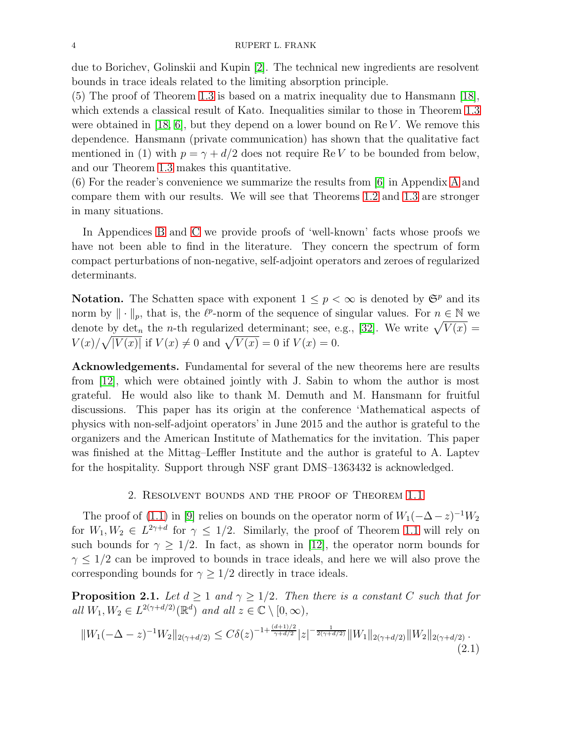due to Borichev, Golinskii and Kupin [\[2\]](#page-21-8). The technical new ingredients are resolvent bounds in trace ideals related to the limiting absorption principle.

(5) The proof of Theorem [1.3](#page-2-0) is based on a matrix inequality due to Hansmann [\[18\]](#page-21-9), which extends a classical result of Kato. Inequalities similar to those in Theorem [1.3](#page-2-0) were obtained in [\[18,](#page-21-9) [6\]](#page-21-10), but they depend on a lower bound on  $\text{Re } V$ . We remove this dependence. Hansmann (private communication) has shown that the qualitative fact mentioned in (1) with  $p = \gamma + d/2$  does not require ReV to be bounded from below, and our Theorem [1.3](#page-2-0) makes this quantitative.

(6) For the reader's convenience we summarize the results from [\[6\]](#page-21-10) in Appendix [A](#page-14-0) and compare them with our results. We will see that Theorems [1.2](#page-2-1) and [1.3](#page-2-0) are stronger in many situations.

In Appendices [B](#page-16-0) and [C](#page-19-0) we provide proofs of 'well-known' facts whose proofs we have not been able to find in the literature. They concern the spectrum of form compact perturbations of non-negative, self-adjoint operators and zeroes of regularized determinants.

**Notation.** The Schatten space with exponent  $1 \leq p < \infty$  is denoted by  $\mathfrak{S}^p$  and its norm by  $\|\cdot\|_p$ , that is, the  $\ell^p$ -norm of the sequence of singular values. For  $n \in \mathbb{N}$  we denote by det<sub>n</sub> the *n*-th regularized determinant; see, e.g., [\[32\]](#page-22-2). We write  $\sqrt{V(x)}$  =  $V(x)/\sqrt{|V(x)|}$  if  $V(x) \neq 0$  and  $\sqrt{V(x)} = 0$  if  $V(x) = 0$ .

Acknowledgements. Fundamental for several of the new theorems here are results from [\[12\]](#page-21-2), which were obtained jointly with J. Sabin to whom the author is most grateful. He would also like to thank M. Demuth and M. Hansmann for fruitful discussions. This paper has its origin at the conference 'Mathematical aspects of physics with non-self-adjoint operators' in June 2015 and the author is grateful to the organizers and the American Institute of Mathematics for the invitation. This paper was finished at the Mittag–Leffler Institute and the author is grateful to A. Laptev for the hospitality. Support through NSF grant DMS–1363432 is acknowledged.

## 2. Resolvent bounds and the proof of Theorem [1.1](#page-0-0)

The proof of [\(1.1\)](#page-0-1) in [\[9\]](#page-21-1) relies on bounds on the operator norm of  $W_1(-\Delta - z)^{-1}W_2$ for  $W_1, W_2 \in L^{2\gamma+d}$  for  $\gamma \leq 1/2$ . Similarly, the proof of Theorem [1.1](#page-0-0) will rely on such bounds for  $\gamma \geq 1/2$ . In fact, as shown in [\[12\]](#page-21-2), the operator norm bounds for  $\gamma \leq 1/2$  can be improved to bounds in trace ideals, and here we will also prove the corresponding bounds for  $\gamma \geq 1/2$  directly in trace ideals.

<span id="page-3-0"></span>**Proposition 2.1.** Let  $d \geq 1$  and  $\gamma \geq 1/2$ . Then there is a constant C such that for all  $W_1, W_2 \in L^{2(\gamma + d/2)}(\mathbb{R}^d)$  and all  $z \in \mathbb{C} \setminus [0, \infty)$ ,

<span id="page-3-1"></span>
$$
||W_1(-\Delta - z)^{-1}W_2||_{2(\gamma + d/2)} \le C\delta(z)^{-1 + \frac{(d+1)/2}{\gamma + d/2}}|z|^{-\frac{1}{2(\gamma + d/2)}}||W_1||_{2(\gamma + d/2)}||W_2||_{2(\gamma + d/2)}.
$$
\n(2.1)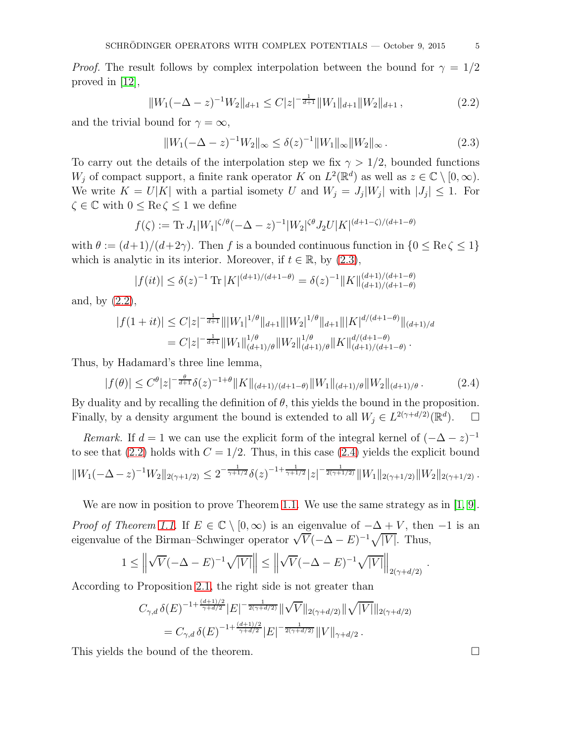*Proof.* The result follows by complex interpolation between the bound for  $\gamma = 1/2$ proved in [\[12\]](#page-21-2),

<span id="page-4-1"></span>
$$
||W_1(-\Delta - z)^{-1}W_2||_{d+1} \le C|z|^{-\frac{1}{d+1}}||W_1||_{d+1}||W_2||_{d+1},\tag{2.2}
$$

and the trivial bound for  $\gamma = \infty$ ,

<span id="page-4-0"></span>
$$
||W_1(-\Delta - z)^{-1}W_2||_{\infty} \le \delta(z)^{-1}||W_1||_{\infty}||W_2||_{\infty}.
$$
\n(2.3)

To carry out the details of the interpolation step we fix  $\gamma > 1/2$ , bounded functions W<sub>j</sub> of compact support, a finite rank operator K on  $L^2(\mathbb{R}^d)$  as well as  $z \in \mathbb{C} \setminus [0, \infty)$ . We write  $K = U|K|$  with a partial isomety U and  $W_j = J_j|W_j|$  with  $|J_j| \leq 1$ . For  $\zeta \in \mathbb{C}$  with  $0 \leq \text{Re}\,\zeta \leq 1$  we define

$$
f(\zeta) := \text{Tr} \, J_1 |W_1|^{\zeta/\theta} (-\Delta - z)^{-1} |W_2|^{\zeta \theta} J_2 U |K|^{(d+1-\zeta)/(d+1-\theta)}
$$

with  $\theta := (d+1)/(d+2\gamma)$ . Then f is a bounded continuous function in  $\{0 \le \text{Re}\,\zeta \le 1\}$ which is analytic in its interior. Moreover, if  $t \in \mathbb{R}$ , by  $(2.3)$ ,

$$
|f(it)| \le \delta(z)^{-1} \operatorname{Tr} |K|^{(d+1)/(d+1-\theta)} = \delta(z)^{-1} ||K||_{(d+1)/(d+1-\theta)}^{(d+1)/(d+1-\theta)}
$$

and, by [\(2.2\)](#page-4-1),

$$
|f(1+it)| \leq C|z|^{-\frac{1}{d+1}} \|\|W_1\|^{1/\theta} \|_{d+1} \|\|W_2\|^{1/\theta} \|_{d+1} \|\|K\|^{d/(d+1-\theta)} \|_{(d+1)/d}
$$
  
= 
$$
C|z|^{-\frac{1}{d+1}} \|W_1\|_{(d+1)/\theta}^{1/\theta} \|W_2\|_{(d+1)/\theta}^{1/\theta} \|K\|_{(d+1)/(d+1-\theta)}^{d/(d+1-\theta)}.
$$

Thus, by Hadamard's three line lemma,

<span id="page-4-2"></span>
$$
|f(\theta)| \le C^{\theta} |z|^{-\frac{\theta}{d+1}} \delta(z)^{-1+\theta} ||K||_{(d+1)/(d+1-\theta)} ||W_1||_{(d+1)/\theta} ||W_2||_{(d+1)/\theta}.
$$
 (2.4)

By duality and by recalling the definition of  $\theta$ , this yields the bound in the proposition. Finally, by a density argument the bound is extended to all  $W_j \in L^{2(\gamma+d/2)}(\mathbb{R}^d)$  $\Box$ 

*Remark.* If  $d = 1$  we can use the explicit form of the integral kernel of  $(-\Delta - z)^{-1}$ to see that [\(2.2\)](#page-4-1) holds with  $C = 1/2$ . Thus, in this case [\(2.4\)](#page-4-2) yields the explicit bound  $||W_1(-\Delta-z)^{-1}W_2||_{2(\gamma+1/2)} \leq 2^{-\frac{1}{\gamma+1/2}}\delta(z)^{-1+\frac{1}{\gamma+1/2}}|z|^{-\frac{1}{2(\gamma+1/2)}}||W_1||_{2(\gamma+1/2)}||W_2||_{2(\gamma+1/2)}.$ 

We are now in position to prove Theorem [1.1.](#page-0-0) We use the same strategy as in [\[1,](#page-21-4) [9\]](#page-21-1).

*Proof of Theorem [1.1.](#page-0-0)* If  $E \in \mathbb{C} \setminus [0, \infty)$  is an eigenvalue of  $-\Delta + V$ , then  $-1$  is an eigenvalue of the Birman–Schwinger operator  $\sqrt{V}(-\Delta - E)^{-1}\sqrt{|V|}$ . Thus,

$$
1 \leq \left\| \sqrt{V}(-\Delta - E)^{-1} \sqrt{|V|} \right\| \leq \left\| \sqrt{V}(-\Delta - E)^{-1} \sqrt{|V|} \right\|_{2(\gamma + d/2)}.
$$

According to Proposition [2.1,](#page-3-0) the right side is not greater than

$$
C_{\gamma,d} \,\delta(E)^{-1+\frac{(d+1)/2}{\gamma+d/2}} |E|^{-\frac{1}{2(\gamma+d/2)}} \|\sqrt{V}\|_{2(\gamma+d/2)} \|\sqrt{|V|}\|_{2(\gamma+d/2)}
$$
  
= 
$$
C_{\gamma,d} \,\delta(E)^{-1+\frac{(d+1)/2}{\gamma+d/2}} |E|^{-\frac{1}{2(\gamma+d/2)}} \|V\|_{\gamma+d/2}.
$$

This yields the bound of the theorem.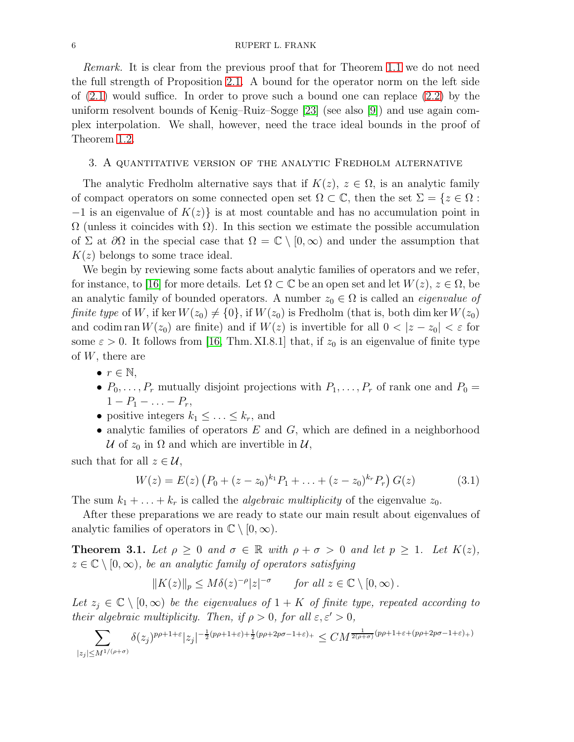Remark. It is clear from the previous proof that for Theorem [1.1](#page-0-0) we do not need the full strength of Proposition [2.1.](#page-3-0) A bound for the operator norm on the left side of  $(2.1)$  would suffice. In order to prove such a bound one can replace  $(2.2)$  by the uniform resolvent bounds of Kenig–Ruiz–Sogge [\[23\]](#page-22-3) (see also [\[9\]](#page-21-1)) and use again complex interpolation. We shall, however, need the trace ideal bounds in the proof of Theorem [1.2.](#page-2-1)

#### <span id="page-5-1"></span>3. A quantitative version of the analytic Fredholm alternative

The analytic Fredholm alternative says that if  $K(z)$ ,  $z \in \Omega$ , is an analytic family of compact operators on some connected open set  $\Omega \subset \mathbb{C}$ , then the set  $\Sigma = \{z \in \Omega :$  $-1$  is an eigenvalue of  $K(z)$  is at most countable and has no accumulation point in  $\Omega$  (unless it coincides with  $\Omega$ ). In this section we estimate the possible accumulation of  $\Sigma$  at  $\partial\Omega$  in the special case that  $\Omega = \mathbb{C} \setminus [0,\infty)$  and under the assumption that  $K(z)$  belongs to some trace ideal.

We begin by reviewing some facts about analytic families of operators and we refer, for instance, to [\[16\]](#page-21-11) for more details. Let  $\Omega \subset \mathbb{C}$  be an open set and let  $W(z)$ ,  $z \in \Omega$ , be an analytic family of bounded operators. A number  $z_0 \in \Omega$  is called an *eigenvalue of finite type* of W, if ker  $W(z_0) \neq \{0\}$ , if  $W(z_0)$  is Fredholm (that is, both dim ker  $W(z_0)$ ) and codim ran  $W(z_0)$  are finite) and if  $W(z)$  is invertible for all  $0 < |z - z_0| < \varepsilon$  for some  $\varepsilon > 0$ . It follows from [\[16,](#page-21-11) Thm. XI.8.1] that, if  $z_0$  is an eigenvalue of finite type of  $W$ , there are

- $\bullet$   $r \in \mathbb{N},$
- $P_0, \ldots, P_r$  mutually disjoint projections with  $P_1, \ldots, P_r$  of rank one and  $P_0 =$  $1 - P_1 - \ldots - P_r$
- positive integers  $k_1 \leq \ldots \leq k_r$ , and
- analytic families of operators  $E$  and  $G$ , which are defined in a neighborhood U of  $z_0$  in  $\Omega$  and which are invertible in U,

such that for all  $z \in \mathcal{U}$ ,

<span id="page-5-2"></span>
$$
W(z) = E(z) (P_0 + (z - z_0)^{k_1} P_1 + \ldots + (z - z_0)^{k_r} P_r) G(z)
$$
 (3.1)

The sum  $k_1 + \ldots + k_r$  is called the *algebraic multiplicity* of the eigenvalue  $z_0$ .

After these preparations we are ready to state our main result about eigenvalues of analytic families of operators in  $\mathbb{C} \setminus [0, \infty)$ .

<span id="page-5-0"></span>**Theorem 3.1.** Let  $\rho \geq 0$  and  $\sigma \in \mathbb{R}$  with  $\rho + \sigma > 0$  and let  $p \geq 1$ . Let  $K(z)$ ,  $z \in \mathbb{C} \setminus [0,\infty)$ , be an analytic family of operators satisfying

$$
||K(z)||_p \le M\delta(z)^{-\rho}|z|^{-\sigma} \quad \text{for all } z \in \mathbb{C} \setminus [0, \infty).
$$

Let  $z_j \in \mathbb{C} \setminus [0,\infty)$  be the eigenvalues of  $1 + K$  of finite type, repeated according to their algebraic multiplicity. Then, if  $\rho > 0$ , for all  $\varepsilon, \varepsilon' > 0$ ,

$$
\sum_{|z_j|\leq M^{1/(\rho+\sigma)}} \delta(z_j)^{p\rho+1+\varepsilon} |z_j|^{-\frac12(p\rho+1+\varepsilon)+\frac12(p\rho+2p\sigma-1+\varepsilon)_+} \leq CM^{\frac{1}{2(\rho+\sigma)}(p\rho+1+\varepsilon+(p\rho+2p\sigma-1+\varepsilon)_+)}
$$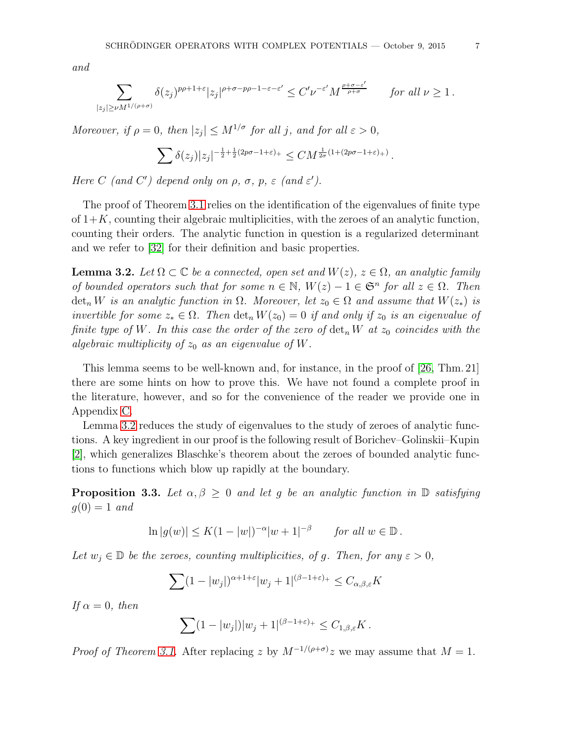and

$$
\sum_{|z_j|\geq \nu M^{1/(\rho+\sigma)}} \delta(z_j)^{p\rho+1+\varepsilon}|z_j|^{\rho+\sigma-p\rho-1-\varepsilon-\varepsilon'}\leq C' \nu^{-\varepsilon'}M^{\frac{\rho+\sigma-\varepsilon'}{\rho+\sigma}}\qquad \textit{for all}\,\, \nu\geq 1\,.
$$

Moreover, if  $\rho = 0$ , then  $|z_j| \le M^{1/\sigma}$  for all j, and for all  $\varepsilon > 0$ ,

$$
\sum \delta(z_j) |z_j|^{-\frac{1}{2} + \frac{1}{2}(2p\sigma - 1 + \varepsilon)_+} \leq C M^{\frac{1}{2\sigma}(1 + (2p\sigma - 1 + \varepsilon)_+)}.
$$

Here C (and C') depend only on  $\rho$ ,  $\sigma$ ,  $p$ ,  $\varepsilon$  (and  $\varepsilon'$ ).

The proof of Theorem [3.1](#page-5-0) relies on the identification of the eigenvalues of finite type of  $1+K$ , counting their algebraic multiplicities, with the zeroes of an analytic function, counting their orders. The analytic function in question is a regularized determinant and we refer to [\[32\]](#page-22-2) for their definition and basic properties.

<span id="page-6-0"></span>**Lemma 3.2.** Let  $\Omega \subset \mathbb{C}$  be a connected, open set and  $W(z)$ ,  $z \in \Omega$ , an analytic family of bounded operators such that for some  $n \in \mathbb{N}$ ,  $W(z) - 1 \in \mathfrak{S}^n$  for all  $z \in \Omega$ . Then  $\det_n W$  is an analytic function in  $\Omega$ . Moreover, let  $z_0 \in \Omega$  and assume that  $W(z_*)$  is invertible for some  $z_* \in \Omega$ . Then  $\det_n W(z_0) = 0$  if and only if  $z_0$  is an eigenvalue of finite type of W. In this case the order of the zero of  $\det_n W$  at  $z_0$  coincides with the algebraic multiplicity of  $z_0$  as an eigenvalue of W.

This lemma seems to be well-known and, for instance, in the proof of [\[26,](#page-22-4) Thm. 21] there are some hints on how to prove this. We have not found a complete proof in the literature, however, and so for the convenience of the reader we provide one in Appendix [C.](#page-19-0)

Lemma [3.2](#page-6-0) reduces the study of eigenvalues to the study of zeroes of analytic functions. A key ingredient in our proof is the following result of Borichev–Golinskii–Kupin [\[2\]](#page-21-8), which generalizes Blaschke's theorem about the zeroes of bounded analytic functions to functions which blow up rapidly at the boundary.

<span id="page-6-1"></span>**Proposition 3.3.** Let  $\alpha, \beta \geq 0$  and let g be an analytic function in  $\mathbb{D}$  satisfying  $g(0) = 1$  and

$$
\ln|g(w)| \le K(1-|w|)^{-\alpha}|w+1|^{-\beta} \quad \text{for all } w \in \mathbb{D}.
$$

Let  $w_j \in \mathbb{D}$  be the zeroes, counting multiplicities, of g. Then, for any  $\varepsilon > 0$ ,

$$
\sum (1 - |w_j|)^{\alpha + 1 + \varepsilon} |w_j + 1|^{(\beta - 1 + \varepsilon)_+} \le C_{\alpha, \beta, \varepsilon} K
$$

If  $\alpha = 0$ , then

$$
\sum (1-|w_j|)|w_j+1|^{(\beta-1+\varepsilon)_+} \leq C_{1,\beta,\varepsilon}K.
$$

*Proof of Theorem [3.1.](#page-5-0)* After replacing z by  $M^{-1/(\rho+\sigma)}z$  we may assume that  $M=1$ .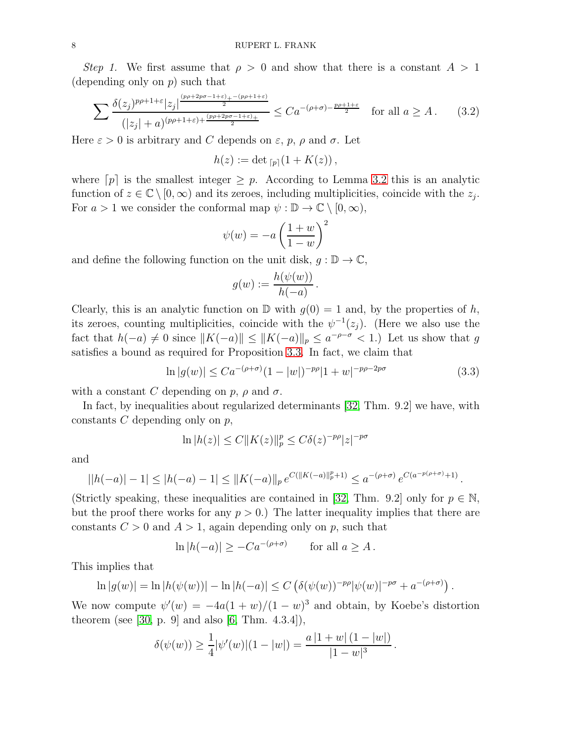Step 1. We first assume that  $\rho > 0$  and show that there is a constant  $A > 1$ (depending only on  $p$ ) such that

<span id="page-7-1"></span>
$$
\sum \frac{\delta(z_j)^{p\rho+1+\varepsilon}|z_j|^{\frac{(p\rho+2p\sigma-1+\varepsilon)_+-(p\rho+1+\varepsilon)}{2}}}{(|z_j|+a)^{(p\rho+1+\varepsilon)+\frac{(p\rho+2p\sigma-1+\varepsilon)_+}{2}}} \le Ca^{-(\rho+\sigma)-\frac{p\rho+1+\varepsilon}{2}} \quad \text{for all } a \ge A. \tag{3.2}
$$

Here  $\varepsilon > 0$  is arbitrary and C depends on  $\varepsilon$ , p,  $\rho$  and  $\sigma$ . Let

$$
h(z) := \det_{[p]}(1 + K(z)),
$$

where  $[p]$  is the smallest integer  $\geq p$ . According to Lemma [3.2](#page-6-0) this is an analytic function of  $z \in \mathbb{C} \setminus [0, \infty)$  and its zeroes, including multiplicities, coincide with the  $z_j$ . For  $a > 1$  we consider the conformal map  $\psi : \mathbb{D} \to \mathbb{C} \setminus [0, \infty)$ ,

$$
\psi(w) = -a\left(\frac{1+w}{1-w}\right)^2
$$

and define the following function on the unit disk,  $g : \mathbb{D} \to \mathbb{C}$ ,

$$
g(w) := \frac{h(\psi(w))}{h(-a)}.
$$

Clearly, this is an analytic function on  $\mathbb{D}$  with  $g(0) = 1$  and, by the properties of h, its zeroes, counting multiplicities, coincide with the  $\psi^{-1}(z_j)$ . (Here we also use the fact that  $h(-a) \neq 0$  since  $||K(-a)|| \leq ||K(-a)||_p \leq a^{-\rho-\sigma} < 1$ .) Let us show that g satisfies a bound as required for Proposition [3.3.](#page-6-1) In fact, we claim that

<span id="page-7-0"></span>
$$
\ln|g(w)| \leq Ca^{-(\rho+\sigma)}(1-|w|)^{-p\rho}|1+w|^{-p\rho-2p\sigma} \tag{3.3}
$$

with a constant C depending on p,  $\rho$  and  $\sigma$ .

In fact, by inequalities about regularized determinants [\[32,](#page-22-2) Thm. 9.2] we have, with constants  $C$  depending only on  $p$ ,

$$
\ln|h(z)| \le C \|K(z)\|_p^p \le C\delta(z)^{-p\rho}|z|^{-p\sigma}
$$

and

$$
||h(-a)|-1| \leq |h(-a)-1| \leq ||K(-a)||_p e^{C(||K(-a)||_p^p+1)} \leq a^{-(\rho+\sigma)} e^{C(a^{-p(\rho+\sigma)}+1)}.
$$

(Strictly speaking, these inequalities are contained in [\[32,](#page-22-2) Thm. 9.2] only for  $p \in \mathbb{N}$ , but the proof there works for any  $p > 0$ .) The latter inequality implies that there are constants  $C > 0$  and  $A > 1$ , again depending only on p, such that

$$
\ln|h(-a)| \ge -Ca^{-(\rho+\sigma)} \qquad \text{for all } a \ge A \, .
$$

This implies that

$$
\ln |g(w)| = \ln |h(\psi(w))| - \ln |h(-a)| \le C \left( \delta(\psi(w))^{-p\rho} |\psi(w)|^{-p\sigma} + a^{-(\rho+\sigma)} \right).
$$

We now compute  $\psi'(w) = -4a(1+w)/(1-w)^3$  and obtain, by Koebe's distortion theorem (see [\[30,](#page-22-5) p. 9] and also [\[6,](#page-21-10) Thm. 4.3.4]),

$$
\delta(\psi(w)) \ge \frac{1}{4} |\psi'(w)| (1 - |w|) = \frac{a |1 + w| (1 - |w|)}{|1 - w|^3}
$$

.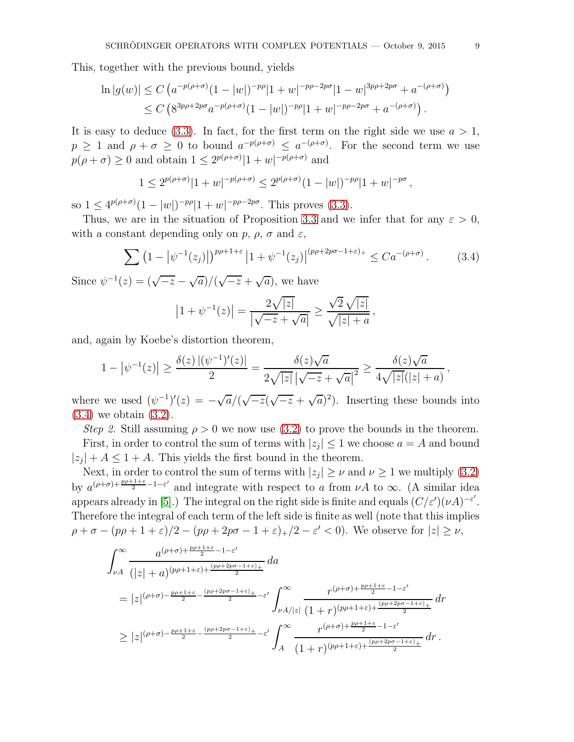This, together with the previous bound, yields

$$
\ln |g(w)| \le C \left( a^{-p(\rho+\sigma)} (1-|w|)^{-p\rho} |1+w|^{-p\rho-2p\sigma} |1-w|^{3p\rho+2p\sigma} + a^{-(\rho+\sigma)} \right)
$$
  

$$
\le C \left( 8^{3p\rho+2p\sigma} a^{-p(\rho+\sigma)} (1-|w|)^{-p\rho} |1+w|^{-p\rho-2p\sigma} + a^{-(\rho+\sigma)} \right).
$$

It is easy to deduce [\(3.3\)](#page-7-0). In fact, for the first term on the right side we use  $a > 1$ ,  $p \geq 1$  and  $\rho + \sigma \geq 0$  to bound  $a^{-p(\rho + \sigma)} \leq a^{-(\rho + \sigma)}$ . For the second term we use  $p(\rho + \sigma) \ge 0$  and obtain  $1 \le 2^{p(\rho + \sigma)} |1 + w|^{-p(\rho + \sigma)}$  and

$$
1 \le 2^{p(\rho+\sigma)}|1+w|^{-p(\rho+\sigma)} \le 2^{p(\rho+\sigma)}(1-|w|)^{-p\rho}|1+w|^{-p\sigma},
$$

so  $1 \leq 4^{p(\rho+\sigma)}(1-|w|)^{-p\rho}|1+w|^{-p\rho-2p\sigma}$ . This proves [\(3.3\)](#page-7-0).

Thus, we are in the situation of Proposition [3.3](#page-6-1) and we infer that for any  $\varepsilon > 0$ , with a constant depending only on p,  $\rho$ ,  $\sigma$  and  $\varepsilon$ ,

<span id="page-8-0"></span>
$$
\sum (1 - |\psi^{-1}(z_j)|)^{p\rho + 1 + \varepsilon} |1 + \psi^{-1}(z_j)|^{(p\rho + 2p\sigma - 1 + \varepsilon)_+} \leq Ca^{-(\rho + \sigma)}.
$$
 (3.4)

Since  $\psi^{-1}(z) = (\sqrt{-z} - \sqrt{a})/(\sqrt{-z} + \sqrt{a})$ , we have

$$
\left|1+\psi^{-1}(z)\right| = \frac{2\sqrt{|z|}}{\left|\sqrt{-z} + \sqrt{a}\right|} \ge \frac{\sqrt{2}\sqrt{|z|}}{\sqrt{|z|+a}},
$$

and, again by Koebe's distortion theorem,

$$
1 - \left|\psi^{-1}(z)\right| \ge \frac{\delta(z) \left|(\psi^{-1})'(z)\right|}{2} = \frac{\delta(z)\sqrt{a}}{2\sqrt{|z|} \left|\sqrt{-z} + \sqrt{a}\right|^2} \ge \frac{\delta(z)\sqrt{a}}{4\sqrt{|z|}(|z| + a)},
$$

where we used  $(\psi^{-1})'(z) = -\sqrt{a}/(\sqrt{-z}(\sqrt{-z} + \sqrt{a})^2)$ . Inserting these bounds into [\(3.4\)](#page-8-0) we obtain [\(3.2\)](#page-7-1).

Step 2. Still assuming  $\rho > 0$  we now use [\(3.2\)](#page-7-1) to prove the bounds in the theorem. First, in order to control the sum of terms with  $|z_j| \leq 1$  we choose  $a = A$  and bound

 $|z_j| + A \leq 1 + A$ . This yields the first bound in the theorem.

Next, in order to control the sum of terms with  $|z_j| \geq \nu$  and  $\nu \geq 1$  we multiply [\(3.2\)](#page-7-1) by  $a^{(\rho+\sigma)+\frac{p\rho+1+\epsilon}{2}-1-\epsilon'}$  and integrate with respect to a from  $\nu A$  to  $\infty$ . (A similar idea appears already in [\[5\]](#page-21-12).) The integral on the right side is finite and equals  $(C/\varepsilon')(\nu A)^{-\varepsilon'}$ . Therefore the integral of each term of the left side is finite as well (note that this implies  $\rho + \sigma - (p\rho + 1 + \varepsilon)/2 - (p\rho + 2p\sigma - 1 + \varepsilon)_{+}/2 - \varepsilon' < 0$ ). We observe for  $|z| \ge \nu$ ,

$$
\int_{\nu A}^{\infty} \frac{a^{(\rho+\sigma)+\frac{p\rho+1+\varepsilon}{2}-1-\varepsilon'}}{(|z|+a)^{(p\rho+1+\varepsilon)+\frac{(p\rho+2p\sigma-1+\varepsilon)_+}{2}}} da
$$
\n
$$
=|z|^{(\rho+\sigma)-\frac{p\rho+1+\varepsilon}{2}-\frac{(p\rho+2p\sigma-1+\varepsilon)_+}{2}-\varepsilon'} \int_{\nu A/|z|}^{\infty} \frac{r^{(\rho+\sigma)+\frac{p\rho+1+\varepsilon}{2}-1-\varepsilon'}}{(1+r)^{(p\rho+1+\varepsilon)+\frac{(p\rho+2p\sigma-1+\varepsilon)_+}{2}}} dr
$$
\n
$$
\geq |z|^{(\rho+\sigma)-\frac{p\rho+1+\varepsilon}{2}-\frac{(p\rho+2p\sigma-1+\varepsilon)_+}{2}-\varepsilon'} \int_{A}^{\infty} \frac{r^{(\rho+\sigma)+\frac{p\rho+1+\varepsilon}{2}-1-\varepsilon'}}{(1+r)^{(p\rho+1+\varepsilon)+\frac{(p\rho+2p\sigma-1+\varepsilon)_+}{2}}} dr.
$$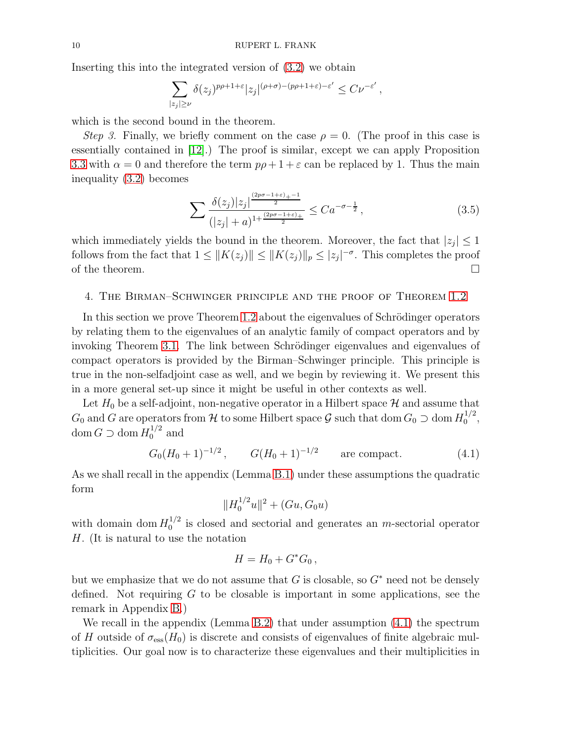Inserting this into the integrated version of [\(3.2\)](#page-7-1) we obtain

$$
\sum_{|z_j| \ge \nu} \delta(z_j)^{p\rho + 1 + \varepsilon} |z_j|^{(\rho + \sigma) - (p\rho + 1 + \varepsilon) - \varepsilon'} \le C \nu^{-\varepsilon'},
$$

which is the second bound in the theorem.

Step 3. Finally, we briefly comment on the case  $\rho = 0$ . (The proof in this case is essentially contained in [\[12\]](#page-21-2).) The proof is similar, except we can apply Proposition [3.3](#page-6-1) with  $\alpha = 0$  and therefore the term  $p\rho + 1 + \varepsilon$  can be replaced by 1. Thus the main inequality [\(3.2\)](#page-7-1) becomes

$$
\sum \frac{\delta(z_j)|z_j|^{\frac{(2p\sigma - 1 + \varepsilon)_+ - 1}{2}}}{(|z_j| + a)^{1 + \frac{(2p\sigma - 1 + \varepsilon)_+}{2}}} \le Ca^{-\sigma - \frac{1}{2}},\tag{3.5}
$$

which immediately yields the bound in the theorem. Moreover, the fact that  $|z_j| \leq 1$ follows from the fact that  $1 \leq ||K(z_j)|| \leq ||K(z_j)||_p \leq |z_j|^{-\sigma}$ . This completes the proof of the theorem.  $\Box$ 

#### <span id="page-9-1"></span>4. The Birman–Schwinger principle and the proof of Theorem [1.2](#page-2-1)

In this section we prove Theorem [1.2](#page-2-1) about the eigenvalues of Schrödinger operators by relating them to the eigenvalues of an analytic family of compact operators and by invoking Theorem [3.1.](#page-5-0) The link between Schrödinger eigenvalues and eigenvalues of compact operators is provided by the Birman–Schwinger principle. This principle is true in the non-selfadjoint case as well, and we begin by reviewing it. We present this in a more general set-up since it might be useful in other contexts as well.

Let  $H_0$  be a self-adjoint, non-negative operator in a Hilbert space  $\mathcal H$  and assume that  $G_0$  and G are operators from H to some Hilbert space G such that dom  $G_0 \supset \text{dom } H_0^{1/2}$  $\frac{1}{2}$ , dom  $G \supset \text{dom } H_0^{1/2}$  and

<span id="page-9-0"></span>
$$
G_0(H_0+1)^{-1/2}
$$
,  $G(H_0+1)^{-1/2}$  are compact. (4.1)

As we shall recall in the appendix (Lemma [B.1\)](#page-17-0) under these assumptions the quadratic form

$$
||H_0^{1/2}u||^2 + (Gu, G_0u)
$$

with domain dom  $H_0^{1/2}$  $_{0}^{1/2}$  is closed and sectorial and generates an *m*-sectorial operator H. (It is natural to use the notation

$$
H = H_0 + G^* G_0,
$$

but we emphasize that we do not assume that G is closable, so  $G^*$  need not be densely defined. Not requiring  $G$  to be closable is important in some applications, see the remark in Appendix [B.](#page-16-0))

We recall in the appendix (Lemma [B.2\)](#page-18-0) that under assumption [\(4.1\)](#page-9-0) the spectrum of H outside of  $\sigma_{\rm ess}(H_0)$  is discrete and consists of eigenvalues of finite algebraic multiplicities. Our goal now is to characterize these eigenvalues and their multiplicities in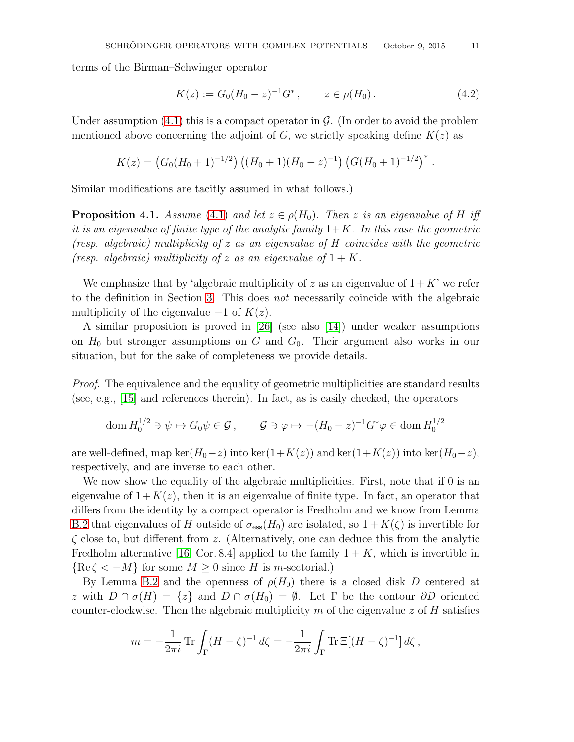terms of the Birman–Schwinger operator

<span id="page-10-1"></span>
$$
K(z) := G_0(H_0 - z)^{-1} G^*, \qquad z \in \rho(H_0).
$$
 (4.2)

Under assumption  $(4.1)$  this is a compact operator in  $\mathcal G$ . (In order to avoid the problem mentioned above concerning the adjoint of G, we strictly speaking define  $K(z)$  as

$$
K(z) = (G_0(H_0 + 1)^{-1/2}) ((H_0 + 1)(H_0 - z)^{-1}) (G(H_0 + 1)^{-1/2})^*.
$$

Similar modifications are tacitly assumed in what follows.)

<span id="page-10-0"></span>**Proposition 4.1.** Assume [\(4.1\)](#page-9-0) and let  $z \in \rho(H_0)$ . Then z is an eigenvalue of H iff it is an eigenvalue of finite type of the analytic family  $1+K$ . In this case the geometric (resp. algebraic) multiplicity of z as an eigenvalue of H coincides with the geometric (resp. algebraic) multiplicity of z as an eigenvalue of  $1 + K$ .

We emphasize that by 'algebraic multiplicity of z as an eigenvalue of  $1+K'$  we refer to the definition in Section [3.](#page-5-1) This does not necessarily coincide with the algebraic multiplicity of the eigenvalue  $-1$  of  $K(z)$ .

A similar proposition is proved in [\[26\]](#page-22-4) (see also [\[14\]](#page-21-13)) under weaker assumptions on  $H_0$  but stronger assumptions on G and  $G_0$ . Their argument also works in our situation, but for the sake of completeness we provide details.

Proof. The equivalence and the equality of geometric multiplicities are standard results (see, e.g., [\[15\]](#page-21-14) and references therein). In fact, as is easily checked, the operators

$$
\operatorname{dom} H_0^{1/2} \ni \psi \mapsto G_0 \psi \in \mathcal{G}, \qquad \mathcal{G} \ni \varphi \mapsto -(H_0 - z)^{-1} G^* \varphi \in \operatorname{dom} H_0^{1/2}
$$

are well-defined, map ker( $H_0-z$ ) into ker(1+K(z)) and ker(1+K(z)) into ker( $H_0-z$ ), respectively, and are inverse to each other.

We now show the equality of the algebraic multiplicities. First, note that if 0 is an eigenvalue of  $1 + K(z)$ , then it is an eigenvalue of finite type. In fact, an operator that differs from the identity by a compact operator is Fredholm and we know from Lemma [B.2](#page-18-0) that eigenvalues of H outside of  $\sigma_{\rm ess}(H_0)$  are isolated, so  $1 + K(\zeta)$  is invertible for  $\zeta$  close to, but different from z. (Alternatively, one can deduce this from the analytic Fredholm alternative [\[16,](#page-21-11) Cor. 8.4] applied to the family  $1 + K$ , which is invertible in  ${Re\zeta < -M}$  for some  $M > 0$  since H is m-sectorial.)

By Lemma [B.2](#page-18-0) and the openness of  $\rho(H_0)$  there is a closed disk D centered at z with  $D \cap \sigma(H) = \{z\}$  and  $D \cap \sigma(H_0) = \emptyset$ . Let  $\Gamma$  be the contour  $\partial D$  oriented counter-clockwise. Then the algebraic multiplicity m of the eigenvalue z of H satisfies

$$
m = -\frac{1}{2\pi i} \operatorname{Tr} \int_{\Gamma} (H - \zeta)^{-1} d\zeta = -\frac{1}{2\pi i} \int_{\Gamma} \operatorname{Tr} \Xi[(H - \zeta)^{-1}] d\zeta,
$$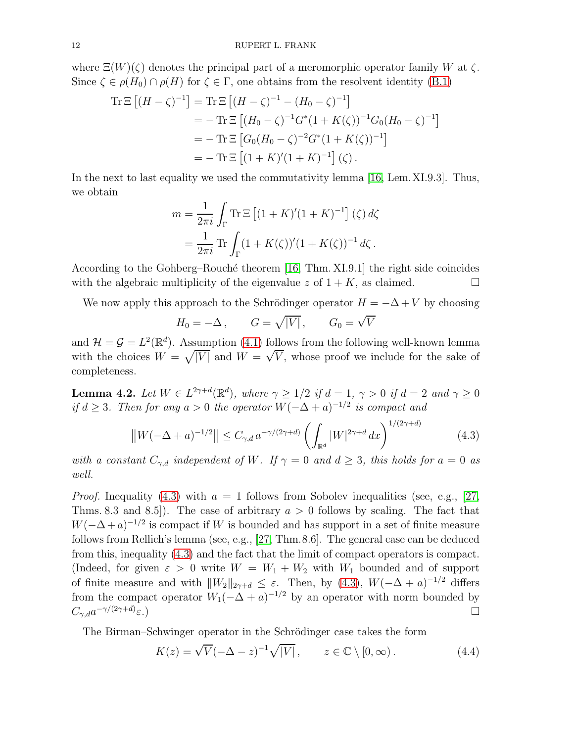where  $\Xi(W)(\zeta)$  denotes the principal part of a meromorphic operator family W at  $\zeta$ . Since  $\zeta \in \rho(H_0) \cap \rho(H)$  for  $\zeta \in \Gamma$ , one obtains from the resolvent identity [\(B.1\)](#page-17-1)

$$
\begin{aligned} \text{Tr}\,\Xi\left[ (H-\zeta)^{-1} \right] &= \text{Tr}\,\Xi\left[ (H-\zeta)^{-1} - (H_0-\zeta)^{-1} \right] \\ &= -\text{Tr}\,\Xi\left[ (H_0-\zeta)^{-1}G^*(1+K(\zeta))^{-1}G_0(H_0-\zeta)^{-1} \right] \\ &= -\text{Tr}\,\Xi\left[ G_0(H_0-\zeta)^{-2}G^*(1+K(\zeta))^{-1} \right] \\ &= -\text{Tr}\,\Xi\left[ (1+K)'(1+K)^{-1} \right](\zeta) \,. \end{aligned}
$$

In the next to last equality we used the commutativity lemma [\[16,](#page-21-11) Lem.XI.9.3]. Thus, we obtain

$$
m = \frac{1}{2\pi i} \int_{\Gamma} \text{Tr} \,\Xi \left[ (1 + K)' (1 + K)^{-1} \right] (\zeta) d\zeta
$$
  
= 
$$
\frac{1}{2\pi i} \text{Tr} \int_{\Gamma} (1 + K(\zeta))' (1 + K(\zeta))^{-1} d\zeta.
$$

According to the Gohberg–Rouché theorem  $[16, Thm. XI.9.1]$  the right side coincides with the algebraic multiplicity of the eigenvalue z of  $1 + K$ , as claimed.

We now apply this approach to the Schrödinger operator  $H = -\Delta + V$  by choosing

$$
H_0 = -\Delta \,, \qquad G = \sqrt{|V|} \,, \qquad G_0 = \sqrt{V}
$$

and  $\mathcal{H} = \mathcal{G} = L^2(\mathbb{R}^d)$ . Assumption [\(4.1\)](#page-9-0) follows from the following well-known lemma with the choices  $W = \sqrt{|V|}$  and  $W = \sqrt{V}$ , whose proof we include for the sake of completeness.

**Lemma 4.2.** Let  $W \in L^{2\gamma+d}(\mathbb{R}^d)$ , where  $\gamma \geq 1/2$  if  $d = 1$ ,  $\gamma > 0$  if  $d = 2$  and  $\gamma \geq 0$ if  $d \geq 3$ . Then for any  $a > 0$  the operator  $W(-\Delta + a)^{-1/2}$  is compact and

<span id="page-11-0"></span>
$$
\|W(-\Delta + a)^{-1/2}\| \le C_{\gamma, d} a^{-\gamma/(2\gamma + d)} \left(\int_{\mathbb{R}^d} |W|^{2\gamma + d} dx\right)^{1/(2\gamma + d)}
$$
(4.3)

with a constant  $C_{\gamma,d}$  independent of W. If  $\gamma = 0$  and  $d \geq 3$ , this holds for  $a = 0$  as well.

*Proof.* Inequality [\(4.3\)](#page-11-0) with  $a = 1$  follows from Sobolev inequalities (see, e.g., [\[27,](#page-22-6) Thms. 8.3 and 8.5]). The case of arbitrary  $a > 0$  follows by scaling. The fact that  $W(-\Delta + a)^{-1/2}$  is compact if W is bounded and has support in a set of finite measure follows from Rellich's lemma (see, e.g., [\[27,](#page-22-6) Thm.8.6]. The general case can be deduced from this, inequality [\(4.3\)](#page-11-0) and the fact that the limit of compact operators is compact. (Indeed, for given  $\varepsilon > 0$  write  $W = W_1 + W_2$  with  $W_1$  bounded and of support of finite measure and with  $||W_2||_{2\gamma+d} \leq \varepsilon$ . Then, by [\(4.3\)](#page-11-0),  $W(-\Delta + a)^{-1/2}$  differs from the compact operator  $W_1(-\Delta + a)^{-1/2}$  by an operator with norm bounded by  $C_{\gamma,d}a^{-\gamma/(2\gamma+d)}$  $\varepsilon$ .)

The Birman–Schwinger operator in the Schrödinger case takes the form

<span id="page-11-1"></span>
$$
K(z) = \sqrt{V}(-\Delta - z)^{-1}\sqrt{|V|}, \qquad z \in \mathbb{C} \setminus [0, \infty).
$$
 (4.4)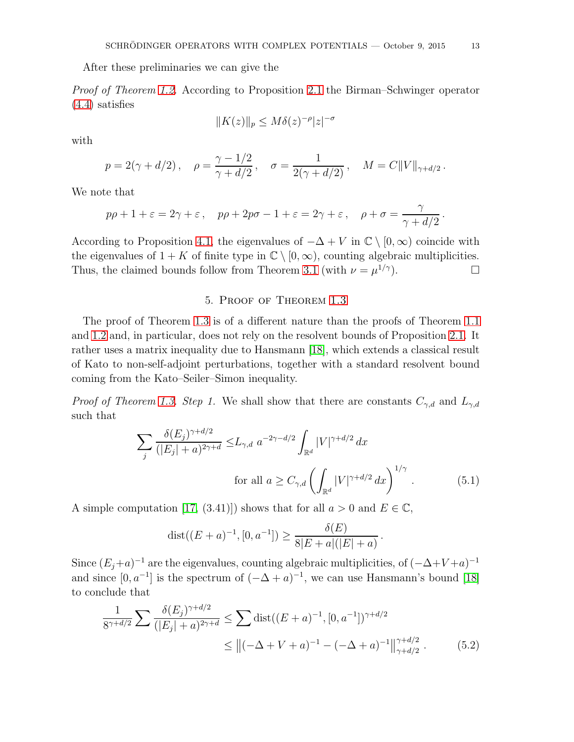After these preliminaries we can give the

Proof of Theorem [1.2.](#page-2-1) According to Proposition [2.1](#page-3-0) the Birman–Schwinger operator [\(4.4\)](#page-11-1) satisfies

$$
||K(z)||_p \le M\delta(z)^{-\rho}|z|^{-\sigma}
$$

with

$$
p = 2(\gamma + d/2), \quad \rho = \frac{\gamma - 1/2}{\gamma + d/2}, \quad \sigma = \frac{1}{2(\gamma + d/2)}, \quad M = C||V||_{\gamma + d/2}.
$$

We note that

$$
p\rho + 1 + \varepsilon = 2\gamma + \varepsilon \,, \quad p\rho + 2p\sigma - 1 + \varepsilon = 2\gamma + \varepsilon \,, \quad \rho + \sigma = \frac{\gamma}{\gamma + d/2} \,.
$$

According to Proposition [4.1,](#page-10-0) the eigenvalues of  $-\Delta + V$  in  $\mathbb{C} \setminus [0, \infty)$  coincide with the eigenvalues of  $1 + K$  of finite type in  $\mathbb{C} \setminus [0, \infty)$ , counting algebraic multiplicities. Thus, the claimed bounds follow from Theorem [3.1](#page-5-0) (with  $\nu = \mu^{1/\gamma}$ ).

# 5. Proof of Theorem [1.3](#page-2-0)

The proof of Theorem [1.3](#page-2-0) is of a different nature than the proofs of Theorem [1.1](#page-0-0) and [1.2](#page-2-1) and, in particular, does not rely on the resolvent bounds of Proposition [2.1.](#page-3-0) It rather uses a matrix inequality due to Hansmann [\[18\]](#page-21-9), which extends a classical result of Kato to non-self-adjoint perturbations, together with a standard resolvent bound coming from the Kato–Seiler–Simon inequality.

*Proof of Theorem [1.3.](#page-2-0) Step 1.* We shall show that there are constants  $C_{\gamma,d}$  and  $L_{\gamma,d}$ such that

$$
\sum_{j} \frac{\delta(E_j)^{\gamma + d/2}}{(|E_j| + a)^{2\gamma + d}} \le L_{\gamma, d} a^{-2\gamma - d/2} \int_{\mathbb{R}^d} |V|^{\gamma + d/2} dx
$$
  
for all  $a \ge C_{\gamma, d} \left( \int_{\mathbb{R}^d} |V|^{\gamma + d/2} dx \right)^{1/\gamma}$ . (5.1)

A simple computation [\[17,](#page-21-15) (3.41)]) shows that for all  $a > 0$  and  $E \in \mathbb{C}$ ,

<span id="page-12-1"></span><span id="page-12-0"></span>
$$
dist((E+a)^{-1}, [0, a^{-1}]) \ge \frac{\delta(E)}{8|E+a|(|E|+a)}.
$$

Since  $(E_j + a)^{-1}$  are the eigenvalues, counting algebraic multiplicities, of  $(-\Delta + V + a)^{-1}$ and since  $[0, a^{-1}]$  is the spectrum of  $(-\Delta + a)^{-1}$ , we can use Hansmann's bound [\[18\]](#page-21-9) to conclude that

$$
\frac{1}{8^{\gamma+d/2}} \sum \frac{\delta(E_j)^{\gamma+d/2}}{(|E_j|+a)^{2\gamma+d}} \le \sum \text{dist}((E+a)^{-1}, [0, a^{-1}])^{\gamma+d/2}
$$
  

$$
\le ||(-\Delta + V + a)^{-1} - (-\Delta + a)^{-1}||_{\gamma+d/2}^{\gamma+d/2}.
$$
 (5.2)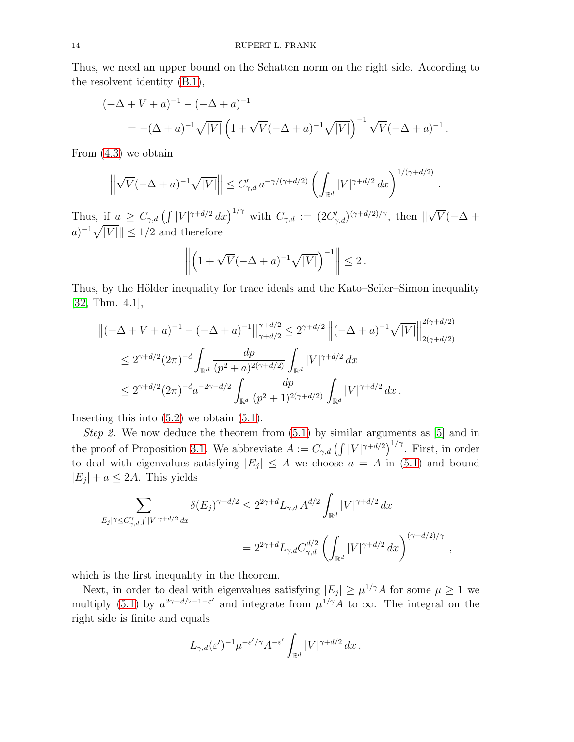Thus, we need an upper bound on the Schatten norm on the right side. According to the resolvent identity [\(B.1\)](#page-17-1),

$$
(-\Delta + V + a)^{-1} - (-\Delta + a)^{-1}
$$
  
= -(\Delta + a)^{-1} \sqrt{|V|} \left(1 + \sqrt{V}(-\Delta + a)^{-1} \sqrt{|V|}\right)^{-1} \sqrt{V}(-\Delta + a)^{-1}.

From [\(4.3\)](#page-11-0) we obtain

$$
\left\|\sqrt{V}(-\Delta+a)^{-1}\sqrt{|V|}\right\| \leq C'_{\gamma,d} a^{-\gamma/(\gamma+d/2)} \left(\int_{\mathbb{R}^d} |V|^{\gamma+d/2} dx\right)^{1/(\gamma+d/2)}
$$

.

Thus, if  $a \geq C_{\gamma,d} \left( \int |V|^{\gamma+d/2} dx \right)^{1/\gamma}$  with  $C_{\gamma,d} := (2C'_{\gamma,d})^{(\gamma+d/2)/\gamma}$ , then  $\|\sqrt{V}(-\Delta +$  $(a)^{-1}\sqrt{|V|}$  |  $\leq 1/2$  and therefore

$$
\left\| \left( 1 + \sqrt{V}(-\Delta + a)^{-1} \sqrt{|V|} \right)^{-1} \right\| \le 2.
$$

Thus, by the Hölder inequality for trace ideals and the Kato–Seiler–Simon inequality [\[32,](#page-22-2) Thm. 4.1],

$$
\begin{split} \left\|(-\Delta + V + a)^{-1} - (-\Delta + a)^{-1}\right\|_{\gamma + d/2}^{\gamma + d/2} &\le 2^{\gamma + d/2} \left\|(-\Delta + a)^{-1}\sqrt{|V|}\right\|_{2(\gamma + d/2)}^{2(\gamma + d/2)} \\ &\le 2^{\gamma + d/2} (2\pi)^{-d} \int_{\mathbb{R}^d} \frac{dp}{(p^2 + a)^{2(\gamma + d/2)}} \int_{\mathbb{R}^d} |V|^{\gamma + d/2} \, dx \\ &\le 2^{\gamma + d/2} (2\pi)^{-d} a^{-2\gamma - d/2} \int_{\mathbb{R}^d} \frac{dp}{(p^2 + 1)^{2(\gamma + d/2)}} \int_{\mathbb{R}^d} |V|^{\gamma + d/2} \, dx \,. \end{split}
$$

Inserting this into  $(5.2)$  we obtain  $(5.1)$ .

Step 2. We now deduce the theorem from  $(5.1)$  by similar arguments as [\[5\]](#page-21-12) and in the proof of Proposition [3.1.](#page-5-0) We abbreviate  $A := C_{\gamma,d} \left( \int |V|^{\gamma+d/2} \right)^{1/\gamma}$ . First, in order to deal with eigenvalues satisfying  $|E_j| \leq A$  we choose  $a = A$  in [\(5.1\)](#page-12-1) and bound  $|E_j| + a \leq 2A$ . This yields

$$
\sum_{|E_j|\gamma \le C_{\gamma,d}^{\gamma} \int |V|^{\gamma+d/2} dx} \delta(E_j)^{\gamma+d/2} \le 2^{2\gamma+d} L_{\gamma,d} A^{d/2} \int_{\mathbb{R}^d} |V|^{\gamma+d/2} dx
$$
  
=  $2^{2\gamma+d} L_{\gamma,d} C_{\gamma,d}^{d/2} \left( \int_{\mathbb{R}^d} |V|^{\gamma+d/2} dx \right)^{(\gamma+d/2)/\gamma},$ 

which is the first inequality in the theorem.

Next, in order to deal with eigenvalues satisfying  $|E_j| \geq \mu^{1/\gamma} A$  for some  $\mu \geq 1$  we multiply [\(5.1\)](#page-12-1) by  $a^{2\gamma+d/2-1-\epsilon'}$  and integrate from  $\mu^{1/\gamma}A$  to  $\infty$ . The integral on the right side is finite and equals

$$
L_{\gamma,d}(\varepsilon')^{-1}\mu^{-\varepsilon'/\gamma}A^{-\varepsilon'}\int_{\mathbb{R}^d}|V|^{\gamma+d/2} dx.
$$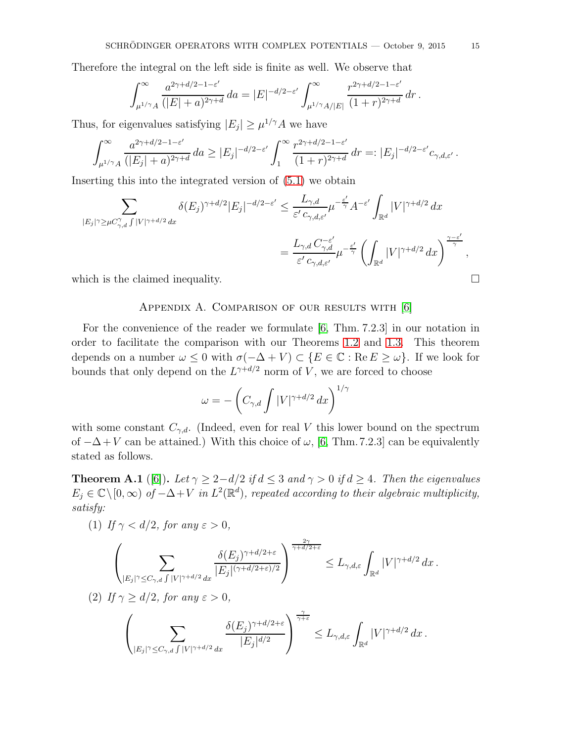Therefore the integral on the left side is finite as well. We observe that

$$
\int_{\mu^{1/\gamma}A}^{\infty} \frac{a^{2\gamma+d/2-1-\varepsilon'}}{(|E|+a)^{2\gamma+d}} da = |E|^{-d/2-\varepsilon'} \int_{\mu^{1/\gamma}A/|E|}^{\infty} \frac{r^{2\gamma+d/2-1-\varepsilon'}}{(1+r)^{2\gamma+d}} dr.
$$

Thus, for eigenvalues satisfying  $|E_j| \ge \mu^{1/\gamma} A$  we have

$$
\int_{\mu^{1/\gamma}A}^{\infty} \frac{a^{2\gamma+d/2-1-\varepsilon'}}{(|E_j|+a)^{2\gamma+d}} da \ge |E_j|^{-d/2-\varepsilon'} \int_1^{\infty} \frac{r^{2\gamma+d/2-1-\varepsilon'}}{(1+r)^{2\gamma+d}} dr =: |E_j|^{-d/2-\varepsilon'} c_{\gamma,d,\varepsilon'}.
$$

Inserting this into the integrated version of [\(5.1\)](#page-12-1) we obtain

$$
\sum_{|E_j|\gamma \ge \mu C_{\gamma,d}^{\gamma} \int |V|^{\gamma+d/2} dx} \delta(E_j)^{\gamma+d/2} |E_j|^{-d/2-\varepsilon'} \le \frac{L_{\gamma,d}}{\varepsilon' c_{\gamma,d,\varepsilon'}} \mu^{-\frac{\varepsilon'}{\gamma}} A^{-\varepsilon'} \int_{\mathbb{R}^d} |V|^{\gamma+d/2} dx
$$
  

$$
= \frac{L_{\gamma,d} C_{\gamma,d}^{-\varepsilon'}}{\varepsilon' c_{\gamma,d,\varepsilon'}} \mu^{-\frac{\varepsilon'}{\gamma}} \left( \int_{\mathbb{R}^d} |V|^{\gamma+d/2} dx \right)^{\frac{\gamma-\varepsilon'}{\gamma}},
$$
 which is the claimed inequality.

<span id="page-14-0"></span>

### APPENDIX A. COMPARISON OF OUR RESULTS WITH [\[6\]](#page-21-10)

For the convenience of the reader we formulate [\[6,](#page-21-10) Thm. 7.2.3] in our notation in order to facilitate the comparison with our Theorems [1.2](#page-2-1) and [1.3.](#page-2-0) This theorem depends on a number  $\omega \leq 0$  with  $\sigma(-\Delta + V) \subset \{E \in \mathbb{C} : \text{Re } E \geq \omega\}$ . If we look for bounds that only depend on the  $L^{\gamma+d/2}$  norm of V, we are forced to choose

$$
\omega = -\left(C_{\gamma,d} \int |V|^{\gamma+d/2} \, dx\right)^{1/\gamma}
$$

with some constant  $C_{\gamma,d}$ . (Indeed, even for real V this lower bound on the spectrum of  $-\Delta + V$  can be attained.) With this choice of  $\omega$ , [\[6,](#page-21-10) Thm. 7.2.3] can be equivalently stated as follows.

<span id="page-14-1"></span>**Theorem A.1** ([\[6\]](#page-21-10)). Let  $\gamma \geq 2 - d/2$  if  $d \leq 3$  and  $\gamma > 0$  if  $d \geq 4$ . Then the eigenvalues  $E_j \in \mathbb{C} \setminus [0,\infty)$  of  $-\Delta + V$  in  $L^2(\mathbb{R}^d)$ , repeated according to their algebraic multiplicity, satisfy:

(1) If 
$$
\gamma < d/2
$$
, for any  $\varepsilon > 0$ ,

$$
\left(\sum_{|E_j|\gamma\leq C_{\gamma,d}\int|V|^{\gamma+d/2}dx}\frac{\delta(E_j)^{\gamma+d/2+\varepsilon}}{|E_j|^{(\gamma+d/2+\varepsilon)/2}}\right)^{\frac{2\gamma}{\gamma+d/2+\varepsilon}}\leq L_{\gamma,d,\varepsilon}\int_{\mathbb{R}^d}|V|^{\gamma+d/2}dx.
$$

(2) If 
$$
\gamma \ge d/2
$$
, for any  $\varepsilon > 0$ ,

$$
\left(\sum_{|E_j|\gamma\leq C_{\gamma,d}\int|V|^{\gamma+d/2}\,dx}\frac{\delta(E_j)^{\gamma+d/2+\varepsilon}}{|E_j|^{d/2}}\right)^{\frac{\gamma}{\gamma+\varepsilon}}\leq L_{\gamma,d,\varepsilon}\int_{\mathbb{R}^d}|V|^{\gamma+d/2}\,dx\,.
$$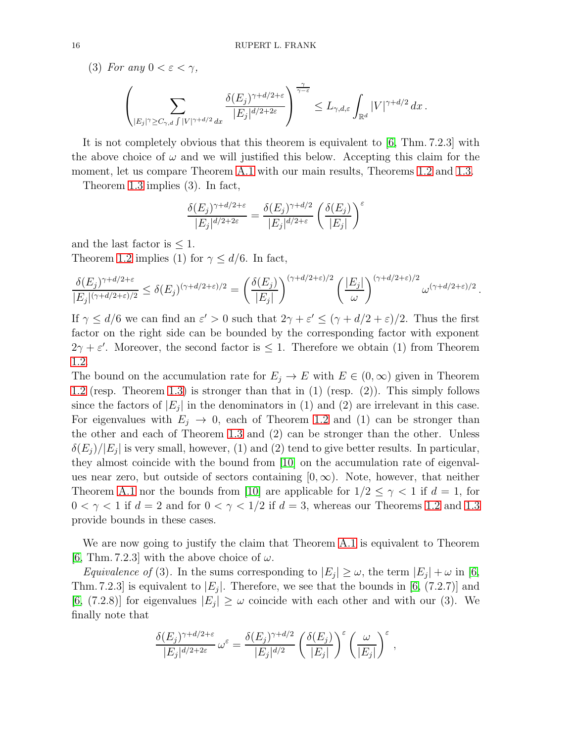(3) For any  $0 < \varepsilon < \gamma$ ,

$$
\left(\sum_{|E_j|\gamma\geq C_{\gamma,d}\int|V|^{\gamma+d/2}\,dx}\frac{\delta(E_j)^{\gamma+d/2+\varepsilon}}{|E_j|^{d/2+2\varepsilon}}\right)^{\frac{\gamma}{\gamma-\varepsilon}}\leq L_{\gamma,d,\varepsilon}\int_{\mathbb{R}^d}|V|^{\gamma+d/2}\,dx\,.
$$

It is not completely obvious that this theorem is equivalent to  $[6, Thm. 7.2.3]$  with the above choice of  $\omega$  and we will justified this below. Accepting this claim for the moment, let us compare Theorem [A.1](#page-14-1) with our main results, Theorems [1.2](#page-2-1) and [1.3.](#page-2-0)

Theorem [1.3](#page-2-0) implies (3). In fact,

$$
\frac{\delta(E_j)^{\gamma+d/2+\varepsilon}}{|E_j|^{d/2+2\varepsilon}} = \frac{\delta(E_j)^{\gamma+d/2}}{|E_j|^{d/2+\varepsilon}} \left(\frac{\delta(E_j)}{|E_j|}\right)^{\varepsilon}
$$

and the last factor is  $\leq 1$ .

Theorem [1.2](#page-2-1) implies (1) for  $\gamma \leq d/6$ . In fact,

$$
\frac{\delta(E_j)^{\gamma+d/2+\varepsilon}}{|E_j|^{(\gamma+d/2+\varepsilon)/2}} \le \delta(E_j)^{(\gamma+d/2+\varepsilon)/2} = \left(\frac{\delta(E_j)}{|E_j|}\right)^{(\gamma+d/2+\varepsilon)/2} \left(\frac{|E_j|}{\omega}\right)^{(\gamma+d/2+\varepsilon)/2} \omega^{(\gamma+d/2+\varepsilon)/2}.
$$

If  $\gamma \leq d/6$  we can find an  $\varepsilon' > 0$  such that  $2\gamma + \varepsilon' \leq (\gamma + d/2 + \varepsilon)/2$ . Thus the first factor on the right side can be bounded by the corresponding factor with exponent  $2\gamma + \varepsilon'$ . Moreover, the second factor is  $\leq 1$ . Therefore we obtain (1) from Theorem [1.2.](#page-2-1)

The bound on the accumulation rate for  $E_j \to E$  with  $E \in (0,\infty)$  given in Theorem [1.2](#page-2-1) (resp. Theorem [1.3\)](#page-2-0) is stronger than that in (1) (resp. (2)). This simply follows since the factors of  $|E_j|$  in the denominators in (1) and (2) are irrelevant in this case. For eigenvalues with  $E_j \to 0$ , each of Theorem [1.2](#page-2-1) and (1) can be stronger than the other and each of Theorem [1.3](#page-2-0) and (2) can be stronger than the other. Unless  $\delta(E_j)/|E_j|$  is very small, however, (1) and (2) tend to give better results. In particular, they almost coincide with the bound from [\[10\]](#page-21-0) on the accumulation rate of eigenvalues near zero, but outside of sectors containing  $(0, \infty)$ . Note, however, that neither Theorem [A.1](#page-14-1) nor the bounds from [\[10\]](#page-21-0) are applicable for  $1/2 \leq \gamma < 1$  if  $d = 1$ , for  $0 < \gamma < 1$  if  $d = 2$  and for  $0 < \gamma < 1/2$  if  $d = 3$ , whereas our Theorems [1.2](#page-2-1) and [1.3](#page-2-0) provide bounds in these cases.

We are now going to justify the claim that Theorem [A.1](#page-14-1) is equivalent to Theorem [\[6,](#page-21-10) Thm. 7.2.3] with the above choice of  $\omega$ .

*Equivalence of* (3). In the sums corresponding to  $|E_j| \ge \omega$ , the term  $|E_j| + \omega$  in [\[6,](#page-21-10) Thm. 7.2.3] is equivalent to  $|E_j|$ . Therefore, we see that the bounds in [\[6,](#page-21-10) (7.2.7)] and [\[6,](#page-21-10) (7.2.8)] for eigenvalues  $|E_j| \geq \omega$  coincide with each other and with our (3). We finally note that

$$
\frac{\delta(E_j)^{\gamma+d/2+\varepsilon}}{|E_j|^{d/2+2\varepsilon}}\,\omega^\varepsilon=\frac{\delta(E_j)^{\gamma+d/2}}{|E_j|^{d/2}}\left(\frac{\delta(E_j)}{|E_j|}\right)^\varepsilon\left(\frac{\omega}{|E_j|}\right)^\varepsilon,
$$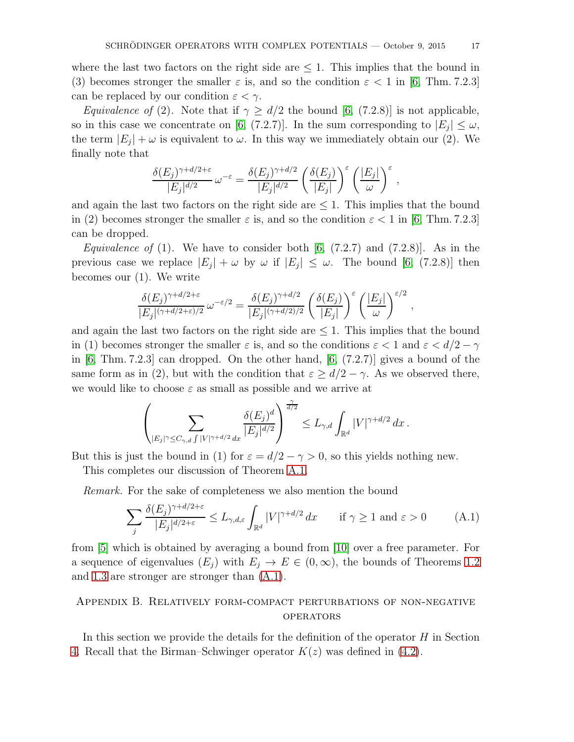where the last two factors on the right side are  $\leq 1$ . This implies that the bound in (3) becomes stronger the smaller  $\varepsilon$  is, and so the condition  $\varepsilon < 1$  in [\[6,](#page-21-10) Thm. 7.2.3] can be replaced by our condition  $\varepsilon < \gamma$ .

*Equivalence of* (2). Note that if  $\gamma \ge d/2$  the bound [\[6,](#page-21-10) (7.2.8)] is not applicable, so in this case we concentrate on [\[6,](#page-21-10) (7.2.7)]. In the sum corresponding to  $|E_j| \leq \omega$ , the term  $|E_j| + \omega$  is equivalent to  $\omega$ . In this way we immediately obtain our (2). We finally note that

$$
\frac{\delta(E_j)^{\gamma+d/2+\varepsilon}}{|E_j|^{d/2}}\,\omega^{-\varepsilon}=\frac{\delta(E_j)^{\gamma+d/2}}{|E_j|^{d/2}}\left(\frac{\delta(E_j)}{|E_j|}\right)^{\varepsilon}\left(\frac{|E_j|}{\omega}\right)^{\varepsilon},\,
$$

and again the last two factors on the right side are  $\leq 1$ . This implies that the bound in (2) becomes stronger the smaller  $\varepsilon$  is, and so the condition  $\varepsilon < 1$  in [\[6,](#page-21-10) Thm. 7.2.3] can be dropped.

*Equivalence of* (1). We have to consider both  $[6, (7.2.7)$  and  $(7.2.8)$ ]. As in the previous case we replace  $|E_j| + \omega$  by  $\omega$  if  $|E_j| \leq \omega$ . The bound [\[6,](#page-21-10) (7.2.8)] then becomes our (1). We write

$$
\frac{\delta(E_j)^{\gamma+d/2+\varepsilon}}{|E_j|^{(\gamma+d/2+\varepsilon)/2}}\,\omega^{-\varepsilon/2} = \frac{\delta(E_j)^{\gamma+d/2}}{|E_j|^{(\gamma+d/2)/2}}\,\left(\frac{\delta(E_j)}{|E_j|}\right)^{\varepsilon}\left(\frac{|E_j|}{\omega}\right)^{\varepsilon/2}\,,
$$

and again the last two factors on the right side are  $\leq 1$ . This implies that the bound in (1) becomes stronger the smaller  $\varepsilon$  is, and so the conditions  $\varepsilon < 1$  and  $\varepsilon < d/2 - \gamma$ in  $[6, Thm. 7.2.3]$  can dropped. On the other hand,  $[6, (7.2.7)]$  gives a bound of the same form as in (2), but with the condition that  $\varepsilon \geq d/2 - \gamma$ . As we observed there, we would like to choose  $\varepsilon$  as small as possible and we arrive at

$$
\left(\sum_{|E_j|\gamma\leq C_{\gamma,d}\int|V|^{\gamma+d/2}\,dx}\frac{\delta(E_j)^d}{|E_j|^{d/2}}\right)^{\frac{\gamma}{d/2}}\leq L_{\gamma,d}\int_{\mathbb{R}^d}|V|^{\gamma+d/2}\,dx\,.
$$

But this is just the bound in (1) for  $\varepsilon = d/2 - \gamma > 0$ , so this yields nothing new.

This completes our discussion of Theorem [A.1.](#page-14-1)

Remark. For the sake of completeness we also mention the bound

<span id="page-16-1"></span>
$$
\sum_{j} \frac{\delta(E_j)^{\gamma + d/2 + \varepsilon}}{|E_j|^{d/2 + \varepsilon}} \le L_{\gamma, d, \varepsilon} \int_{\mathbb{R}^d} |V|^{\gamma + d/2} dx \quad \text{if } \gamma \ge 1 \text{ and } \varepsilon > 0 \tag{A.1}
$$

from [\[5\]](#page-21-12) which is obtained by averaging a bound from [\[10\]](#page-21-0) over a free parameter. For a sequence of eigenvalues  $(E_i)$  with  $E_j \to E \in (0,\infty)$ , the bounds of Theorems [1.2](#page-2-1) and [1.3](#page-2-0) are stronger are stronger than [\(A.1\)](#page-16-1).

# <span id="page-16-0"></span>Appendix B. Relatively form-compact perturbations of non-negative **OPERATORS**

In this section we provide the details for the definition of the operator  $H$  in Section [4.](#page-9-1) Recall that the Birman–Schwinger operator  $K(z)$  was defined in [\(4.2\)](#page-10-1).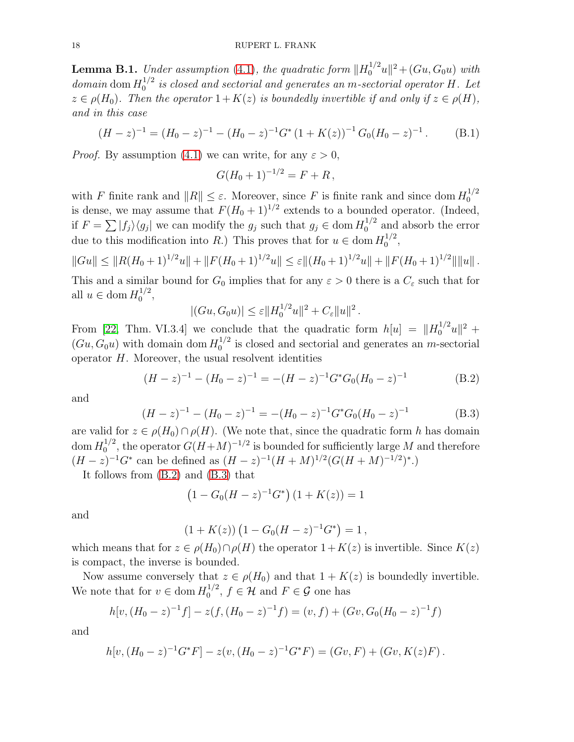<span id="page-17-0"></span>**Lemma B.1.** Under assumption [\(4.1\)](#page-9-0), the quadratic form  $||H_0^{1/2}u||^2 + (Gu, G_0u)$  with domain dom  $H_0^{1/2}$  $\int_0^{1/2}$  is closed and sectorial and generates an m-sectorial operator H. Let  $z \in \rho(H_0)$ . Then the operator  $1 + K(z)$  is boundedly invertible if and only if  $z \in \rho(H)$ , and in this case

<span id="page-17-1"></span>
$$
(H-z)^{-1} = (H_0 - z)^{-1} - (H_0 - z)^{-1} G^* (1 + K(z))^{-1} G_0 (H_0 - z)^{-1}.
$$
 (B.1)

*Proof.* By assumption [\(4.1\)](#page-9-0) we can write, for any  $\varepsilon > 0$ ,

$$
G(H_0+1)^{-1/2} = F + R,
$$

with F finite rank and  $||R|| \leq \varepsilon$ . Moreover, since F is finite rank and since dom  $H_0^{1/2}$  $\boldsymbol{0}$ is dense, we may assume that  $F(H_0 + 1)^{1/2}$  extends to a bounded operator. (Indeed, if  $F = \sum |f_j\rangle\langle g_j|$  we can modify the  $g_j$  such that  $g_j \in \text{dom } H_0^{1/2}$  $_0^{1/2}$  and absorb the error due to this modification into R.) This proves that for  $u \in \text{dom } H_0^{1/2}$  $\frac{1}{2}$ ,

$$
||Gu|| \leq ||R(H_0+1)^{1/2}u|| + ||F(H_0+1)^{1/2}u|| \leq \varepsilon ||(H_0+1)^{1/2}u|| + ||F(H_0+1)^{1/2}|| ||u||.
$$

This and a similar bound for  $G_0$  implies that for any  $\varepsilon > 0$  there is a  $C_{\varepsilon}$  such that for all  $u \in \text{dom } H_0^{1/2}$  $\frac{1}{2}$ ,

$$
|(Gu, G_0 u)| \leq \varepsilon ||H_0^{1/2} u||^2 + C_{\varepsilon} ||u||^2.
$$

From [\[22,](#page-22-7) Thm. VI.3.4] we conclude that the quadratic form  $h[u] = ||H_0^{1/2}u||^2 +$  $(Gu, G_0u)$  with domain dom  $H_0^{1/2}$  $_{0}^{1/2}$  is closed and sectorial and generates an *m*-sectorial operator  $H$ . Moreover, the usual resolvent identities

<span id="page-17-2"></span>
$$
(H-z)^{-1} - (H_0-z)^{-1} = -(H-z)^{-1}G^*G_0(H_0-z)^{-1}
$$
(B.2)

and

<span id="page-17-3"></span>
$$
(H-z)^{-1} - (H_0-z)^{-1} = -(H_0-z)^{-1}G^*G_0(H_0-z)^{-1}
$$
 (B.3)

are valid for  $z \in \rho(H_0) \cap \rho(H)$ . (We note that, since the quadratic form h has domain  $\mathrm{dom}\, H_0^{1/2}$  $0^{1/2}$ , the operator  $G(H+M)^{-1/2}$  is bounded for sufficiently large M and therefore  $(H-z)^{-1}G^*$  can be defined as  $(H-z)^{-1}(H+M)^{1/2}(G(H+M)^{-1/2})^*$ .

It follows from [\(B.2\)](#page-17-2) and [\(B.3\)](#page-17-3) that

$$
(1 - G_0(H - z)^{-1}G^*) (1 + K(z)) = 1
$$

and

$$
(1 + K(z)) (1 - G_0(H - z)^{-1}G^*) = 1,
$$

which means that for  $z \in \rho(H_0) \cap \rho(H)$  the operator  $1 + K(z)$  is invertible. Since  $K(z)$ is compact, the inverse is bounded.

Now assume conversely that  $z \in \rho(H_0)$  and that  $1 + K(z)$  is boundedly invertible. We note that for  $v \in \text{dom } H_0^{1/2}$  $\int_0^{1/2}$ ,  $f \in \mathcal{H}$  and  $F \in \mathcal{G}$  one has

$$
h[v, (H_0 - z)^{-1}f] - z(f, (H_0 - z)^{-1}f) = (v, f) + (Gv, G_0(H_0 - z)^{-1}f)
$$

and

$$
h[v,(H_0-z)^{-1}G^*F]-z(v,(H_0-z)^{-1}G^*F)=(Gv,F)+(Gv,K(z)F).
$$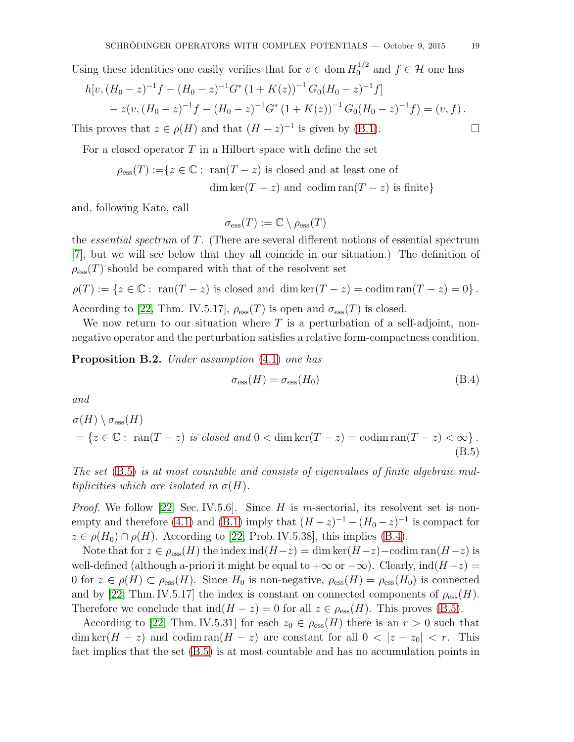Using these identities one easily verifies that for  $v \in \text{dom } H_0^{1/2}$  and  $f \in \mathcal{H}$  one has

$$
h[v, (H_0 - z)^{-1}f - (H_0 - z)^{-1}G^* (1 + K(z))^{-1}G_0(H_0 - z)^{-1}f]
$$
  
- z(v,  $(H_0 - z)^{-1}f - (H_0 - z)^{-1}G^* (1 + K(z))^{-1}G_0(H_0 - z)^{-1}f) = (v, f).$ 

This proves that  $z \in \rho(H)$  and that  $(H - z)^{-1}$  is given by [\(B.1\)](#page-17-1).

For a closed operator  $T$  in a Hilbert space with define the set

$$
\rho_{\rm ess}(T) := \{ z \in \mathbb{C} : \text{ ran}(T - z) \text{ is closed and at least one of} \\ \dim \ker(T - z) \text{ and } \operatorname{codim} \operatorname{ran}(T - z) \text{ is finite} \}
$$

and, following Kato, call

 $\sigma_{\text{ess}}(T) := \mathbb{C} \setminus \rho_{\text{ess}}(T)$ 

the essential spectrum of T. (There are several different notions of essential spectrum [\[7\]](#page-21-16), but we will see below that they all coincide in our situation.) The definition of  $\rho_{\text{ess}}(T)$  should be compared with that of the resolvent set

$$
\rho(T) := \{ z \in \mathbb{C} : \text{ ran}(T - z) \text{ is closed and } \dim \ker(T - z) = \text{codim}\operatorname{ran}(T - z) = 0 \}.
$$

According to [\[22,](#page-22-7) Thm. IV.5.17],  $\rho_{\text{ess}}(T)$  is open and  $\sigma_{\text{ess}}(T)$  is closed.

We now return to our situation where  $T$  is a perturbation of a self-adjoint, nonnegative operator and the perturbation satisfies a relative form-compactness condition.

<span id="page-18-0"></span>Proposition B.2. Under assumption  $(4.1)$  one has

<span id="page-18-2"></span><span id="page-18-1"></span>
$$
\sigma_{\rm ess}(H) = \sigma_{\rm ess}(H_0) \tag{B.4}
$$

and

$$
\sigma(H) \setminus \sigma_{\rm ess}(H)
$$
  
=  $\{ z \in \mathbb{C} : \text{ran}(T - z) \text{ is closed and } 0 < \text{dim }\text{ker}(T - z) = \text{codim }\text{ran}(T - z) < \infty \}.$   
(B.5)

The set [\(B.5\)](#page-18-1) is at most countable and consists of eigenvalues of finite algebraic multiplicities which are isolated in  $\sigma(H)$ .

*Proof.* We follow [\[22,](#page-22-7) Sec. IV.5.6]. Since H is m-sectorial, its resolvent set is non-empty and therefore [\(4.1\)](#page-9-0) and [\(B.1\)](#page-17-1) imply that  $(H-z)^{-1} - (H_0-z)^{-1}$  is compact for  $z \in \rho(H_0) \cap \rho(H)$ . According to [\[22,](#page-22-7) Prob. IV.5.38], this implies [\(B.4\)](#page-18-2).

Note that for  $z \in \rho_{\text{ess}}(H)$  the index ind $(H-z) = \dim \ker(H-z) - \text{codim }\text{ran}(H-z)$  is well-defined (although a-priori it might be equal to  $+\infty$  or  $-\infty$ ). Clearly,  $\text{ind}(H-z)$ 0 for  $z \in \rho(H) \subset \rho_{\text{ess}}(H)$ . Since  $H_0$  is non-negative,  $\rho_{\text{ess}}(H) = \rho_{\text{ess}}(H_0)$  is connected and by [\[22,](#page-22-7) Thm. IV.5.17] the index is constant on connected components of  $\rho_{\rm ess}(H)$ . Therefore we conclude that  $\text{ind}(H - z) = 0$  for all  $z \in \rho_{\text{ess}}(H)$ . This proves [\(B.5\)](#page-18-1).

According to [\[22,](#page-22-7) Thm. IV.5.31] for each  $z_0 \in \rho_{\text{ess}}(H)$  there is an  $r > 0$  such that  $\dim \ker(H - z)$  and  $\operatorname{codim} \operatorname{ran}(H - z)$  are constant for all  $0 < |z - z_0| < r$ . This fact implies that the set [\(B.5\)](#page-18-1) is at most countable and has no accumulation points in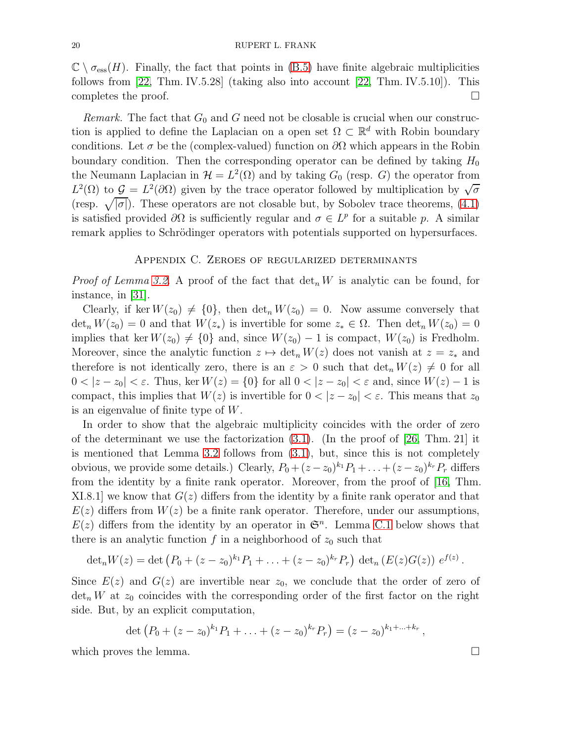$\mathbb{C} \setminus \sigma_{\text{ess}}(H)$ . Finally, the fact that points in [\(B.5\)](#page-18-1) have finite algebraic multiplicities follows from [\[22,](#page-22-7) Thm. IV.5.28] (taking also into account [\[22,](#page-22-7) Thm. IV.5.10]). This completes the proof.  $\Box$ 

Remark. The fact that  $G_0$  and G need not be closable is crucial when our construction is applied to define the Laplacian on a open set  $\Omega \subset \mathbb{R}^d$  with Robin boundary conditions. Let  $\sigma$  be the (complex-valued) function on  $\partial\Omega$  which appears in the Robin boundary condition. Then the corresponding operator can be defined by taking  $H_0$ the Neumann Laplacian in  $\mathcal{H} = L^2(\Omega)$  and by taking  $G_0$  (resp. G) the operator from  $L^2(\Omega)$  to  $\mathcal{G} = L^2(\partial\Omega)$  given by the trace operator followed by multiplication by  $\sqrt{\sigma}$ (resp.  $\sqrt{|\sigma|}$ ). These operators are not closable but, by Sobolev trace theorems, [\(4.1\)](#page-9-0) is satisfied provided  $\partial\Omega$  is sufficiently regular and  $\sigma \in L^p$  for a suitable p. A similar remark applies to Schrödinger operators with potentials supported on hypersurfaces.

## Appendix C. Zeroes of regularized determinants

<span id="page-19-0"></span>*Proof of Lemma [3.2.](#page-6-0)* A proof of the fact that  $\det_n W$  is analytic can be found, for instance, in [\[31\]](#page-22-8).

Clearly, if ker  $W(z_0) \neq \{0\}$ , then  $\det_n W(z_0) = 0$ . Now assume conversely that  $\det_n W(z_0) = 0$  and that  $W(z_*)$  is invertible for some  $z_* \in \Omega$ . Then  $\det_n W(z_0) = 0$ implies that ker  $W(z_0) \neq \{0\}$  and, since  $W(z_0) - 1$  is compact,  $W(z_0)$  is Fredholm. Moreover, since the analytic function  $z \mapsto \det_n W(z)$  does not vanish at  $z = z_*$  and therefore is not identically zero, there is an  $\varepsilon > 0$  such that  $\det_n W(z) \neq 0$  for all  $0 < |z - z_0| < \varepsilon$ . Thus, ker  $W(z) = \{0\}$  for all  $0 < |z - z_0| < \varepsilon$  and, since  $W(z) - 1$  is compact, this implies that  $W(z)$  is invertible for  $0 < |z - z_0| < \varepsilon$ . This means that  $z_0$ is an eigenvalue of finite type of W.

In order to show that the algebraic multiplicity coincides with the order of zero of the determinant we use the factorization  $(3.1)$ . (In the proof of [\[26,](#page-22-4) Thm. 21] it is mentioned that Lemma [3.2](#page-6-0) follows from [\(3.1\)](#page-5-2), but, since this is not completely obvious, we provide some details.) Clearly,  $P_0 + (z - z_0)^{k_1} P_1 + \ldots + (z - z_0)^{k_r} P_r$  differs from the identity by a finite rank operator. Moreover, from the proof of [\[16,](#page-21-11) Thm. XI.8.1 we know that  $G(z)$  differs from the identity by a finite rank operator and that  $E(z)$  differs from  $W(z)$  be a finite rank operator. Therefore, under our assumptions,  $E(z)$  differs from the identity by an operator in  $\mathfrak{S}^n$ . Lemma [C.1](#page-20-0) below shows that there is an analytic function  $f$  in a neighborhood of  $z_0$  such that

$$
\det_n W(z) = \det \left( P_0 + (z-z_0)^{k_1} P_1 + \ldots + (z-z_0)^{k_r} P_r \right) \det_n \left( E(z) G(z) \right) e^{f(z)}.
$$

Since  $E(z)$  and  $G(z)$  are invertible near  $z_0$ , we conclude that the order of zero of  $\det_n W$  at  $z_0$  coincides with the corresponding order of the first factor on the right side. But, by an explicit computation,

$$
\det (P_0 + (z-z_0)^{k_1} P_1 + \ldots + (z-z_0)^{k_r} P_r) = (z-z_0)^{k_1 + \ldots + k_r},
$$

which proves the lemma.  $\square$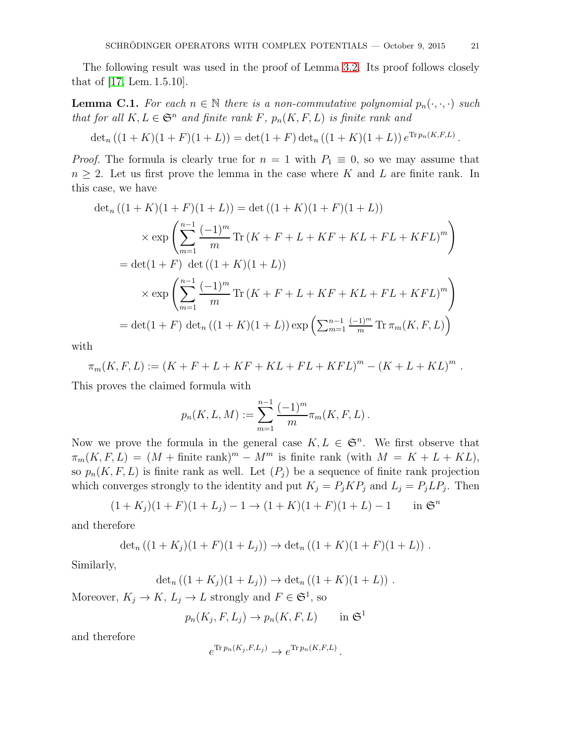The following result was used in the proof of Lemma [3.2.](#page-6-0) Its proof follows closely that of [\[17,](#page-21-15) Lem. 1.5.10].

<span id="page-20-0"></span>**Lemma C.1.** For each  $n \in \mathbb{N}$  there is a non-commutative polynomial  $p_n(\cdot, \cdot, \cdot)$  such that for all  $K, L \in \mathfrak{S}^n$  and finite rank  $F$ ,  $p_n(K, F, L)$  is finite rank and

$$
\det_n ((1 + K)(1 + F)(1 + L)) = \det(1 + F) \det_n ((1 + K)(1 + L)) e^{\text{Tr} p_n(K, F, L)}.
$$

*Proof.* The formula is clearly true for  $n = 1$  with  $P_1 \equiv 0$ , so we may assume that  $n \geq 2$ . Let us first prove the lemma in the case where K and L are finite rank. In this case, we have

$$
\det_n ((1 + K)(1 + F)(1 + L)) = \det ((1 + K)(1 + F)(1 + L))
$$
  
\n
$$
\times \exp \left( \sum_{m=1}^{n-1} \frac{(-1)^m}{m} \text{Tr} \left( K + F + L + KF + KL + FL + KFL \right)^m \right)
$$
  
\n
$$
= \det(1 + F) \det ((1 + K)(1 + L))
$$
  
\n
$$
\times \exp \left( \sum_{m=1}^{n-1} \frac{(-1)^m}{m} \text{Tr} \left( K + F + L + KF + KL + FL + KFL \right)^m \right)
$$
  
\n
$$
= \det(1 + F) \det_n ((1 + K)(1 + L)) \exp \left( \sum_{m=1}^{n-1} \frac{(-1)^m}{m} \text{Tr} \pi_m(K, F, L) \right)
$$

with

$$
\pi_m(K, F, L) := (K + F + L + KF + KL + FL + KFL)^m - (K + L + KL)^m.
$$

This proves the claimed formula with

$$
p_n(K, L, M) := \sum_{m=1}^{n-1} \frac{(-1)^m}{m} \pi_m(K, F, L).
$$

Now we prove the formula in the general case  $K, L \in \mathfrak{S}^n$ . We first observe that  $\pi_m(K, F, L) = (M + \text{finite rank})^m - M^m$  is finite rank (with  $M = K + L + KL$ ), so  $p_n(K, F, L)$  is finite rank as well. Let  $(P_i)$  be a sequence of finite rank projection which converges strongly to the identity and put  $K_j = P_j K P_j$  and  $L_j = P_j L P_j$ . Then

$$
(1 + K_j)(1 + F)(1 + L_j) - 1 \to (1 + K)(1 + F)(1 + L) - 1 \quad \text{in } \mathfrak{S}^n
$$

and therefore

$$
\det_n ((1 + K_j)(1 + F)(1 + L_j)) \to \det_n ((1 + K)(1 + F)(1 + L)) .
$$

Similarly,

$$
\det_n ((1 + K_j)(1 + L_j)) \to \det_n ((1 + K)(1 + L)).
$$

Moreover,  $K_j \to K$ ,  $L_j \to L$  strongly and  $F \in \mathfrak{S}^1$ , so

$$
p_n(K_j, F, L_j) \to p_n(K, F, L) \quad \text{in } \mathfrak{S}^1
$$

and therefore

$$
e^{\text{Tr }p_n(K_j, F, L_j)} \to e^{\text{Tr }p_n(K, F, L)}.
$$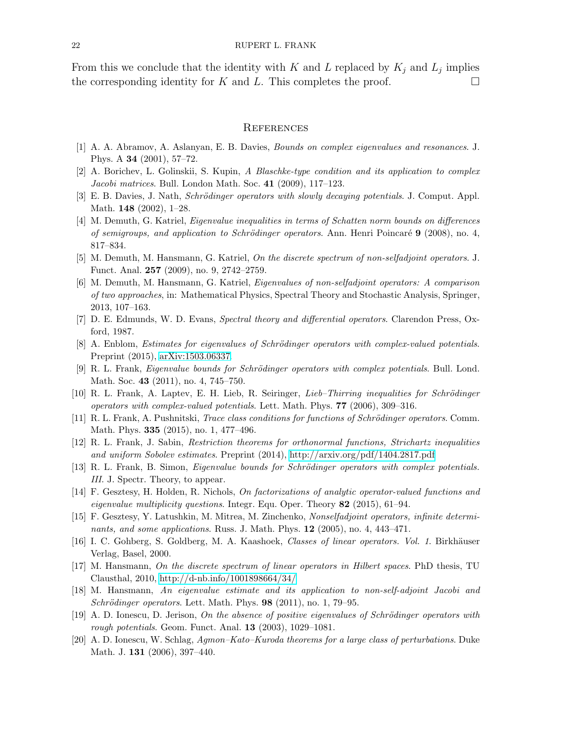From this we conclude that the identity with K and L replaced by  $K_j$  and  $L_j$  implies the corresponding identity for K and L. This completes the proof.  $\square$ 

#### **REFERENCES**

- <span id="page-21-8"></span><span id="page-21-4"></span>[1] A. A. Abramov, A. Aslanyan, E. B. Davies, Bounds on complex eigenvalues and resonances. J. Phys. A 34 (2001), 57–72.
- <span id="page-21-5"></span>[2] A. Borichev, L. Golinskii, S. Kupin, A Blaschke-type condition and its application to complex Jacobi matrices. Bull. London Math. Soc. 41 (2009), 117–123.
- <span id="page-21-7"></span>[3] E. B. Davies, J. Nath, Schrödinger operators with slowly decaying potentials. J. Comput. Appl. Math. 148 (2002), 1–28.
- [4] M. Demuth, G. Katriel, Eigenvalue inequalities in terms of Schatten norm bounds on differences of semigroups, and application to Schrödinger operators. Ann. Henri Poincaré  $9$  (2008), no. 4, 817–834.
- <span id="page-21-12"></span><span id="page-21-10"></span>[5] M. Demuth, M. Hansmann, G. Katriel, On the discrete spectrum of non-selfadjoint operators. J. Funct. Anal. 257 (2009), no. 9, 2742–2759.
- [6] M. Demuth, M. Hansmann, G. Katriel, Eigenvalues of non-selfadjoint operators: A comparison of two approaches, in: Mathematical Physics, Spectral Theory and Stochastic Analysis, Springer, 2013, 107–163.
- <span id="page-21-16"></span><span id="page-21-6"></span>[7] D. E. Edmunds, W. D. Evans, Spectral theory and differential operators. Clarendon Press, Oxford, 1987.
- <span id="page-21-1"></span>[8] A. Enblom, *Estimates for eigenvalues of Schrödinger operators with complex-valued potentials.* Preprint (2015), [arXiv:1503.06337.](http://arxiv.org/abs/1503.06337)
- [9] R. L. Frank, Eigenvalue bounds for Schrödinger operators with complex potentials. Bull. Lond. Math. Soc. **43** (2011), no. 4, 745–750.
- <span id="page-21-0"></span>[10] R. L. Frank, A. Laptev, E. H. Lieb, R. Seiringer, Lieb-Thirring inequalities for Schrödinger operators with complex-valued potentials. Lett. Math. Phys. 77 (2006), 309–316.
- <span id="page-21-2"></span>[11] R. L. Frank, A. Pushnitski, *Trace class conditions for functions of Schrödinger operators*. Comm. Math. Phys. 335 (2015), no. 1, 477–496.
- [12] R. L. Frank, J. Sabin, Restriction theorems for orthonormal functions, Strichartz inequalities and uniform Sobolev estimates. Preprint (2014),<http://arxiv.org/pdf/1404.2817.pdf>
- <span id="page-21-13"></span><span id="page-21-3"></span>[13] R. L. Frank, B. Simon, *Eigenvalue bounds for Schrödinger operators with complex potentials.* III. J. Spectr. Theory, to appear.
- [14] F. Gesztesy, H. Holden, R. Nichols, On factorizations of analytic operator-valued functions and eigenvalue multiplicity questions. Integr. Equ. Oper. Theory 82 (2015), 61–94.
- <span id="page-21-14"></span>[15] F. Gesztesy, Y. Latushkin, M. Mitrea, M. Zinchenko, Nonselfadjoint operators, infinite determinants, and some applications. Russ. J. Math. Phys. 12 (2005), no. 4, 443–471.
- <span id="page-21-15"></span><span id="page-21-11"></span>[16] I. C. Gohberg, S. Goldberg, M. A. Kaashoek, Classes of linear operators. Vol. 1. Birkhäuser Verlag, Basel, 2000.
- [17] M. Hansmann, On the discrete spectrum of linear operators in Hilbert spaces. PhD thesis, TU Clausthal, 2010,<http://d-nb.info/1001898664/34/>
- <span id="page-21-9"></span>[18] M. Hansmann, An eigenvalue estimate and its application to non-self-adjoint Jacobi and Schrödinger operators. Lett. Math. Phys.  $98$  (2011), no. 1, 79–95.
- [19] A. D. Ionescu, D. Jerison, On the absence of positive eigenvalues of Schrödinger operators with rough potentials. Geom. Funct. Anal. 13 (2003), 1029–1081.
- [20] A. D. Ionescu, W. Schlag, Agmon–Kato–Kuroda theorems for a large class of perturbations. Duke Math. J. 131 (2006), 397–440.